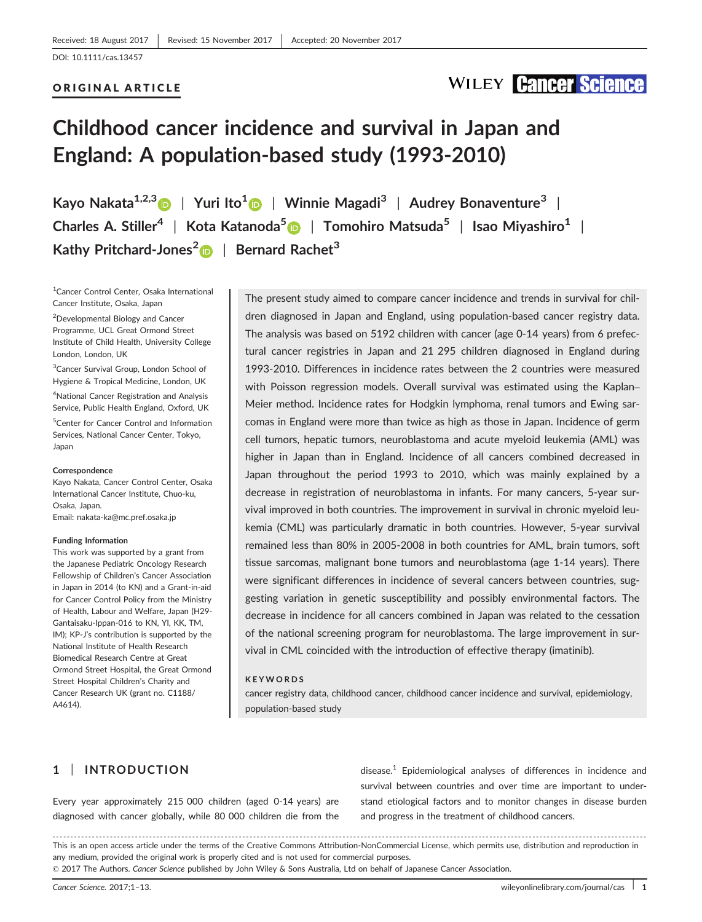#### ORIGINAL ARTICLE

## WILEY **Cancer Science**

## Childhood cancer incidence and survival in Japan and England: A population-based study (1993-2010)

Kayo Nakata<sup>1,2,[3](http://orcid.org/0000-0001-9782-8637)</sup> | Yuri Ito<sup>[1](http://orcid.org/0000-0002-1407-2393)</sup> | Winnie Magadi<sup>3</sup> | Audrey Bonaventure<sup>3</sup> | Charles A. Stiller<sup>4</sup> | Kota Katanoda<sup>[5](http://orcid.org/0000-0001-8687-1269)</sup> | Tomohiro Matsuda<sup>5</sup> | Isao Miyashiro<sup>1</sup> | Kathy Pritchard-Jones<sup>2</sup> | Bernard Rachet<sup>3</sup>

1 Cancer Control Center, Osaka International Cancer Institute, Osaka, Japan

2 Developmental Biology and Cancer Programme, UCL Great Ormond Street Institute of Child Health, University College London, London, UK

<sup>3</sup> Cancer Survival Group, London School of Hygiene & Tropical Medicine, London, UK

4 National Cancer Registration and Analysis Service, Public Health England, Oxford, UK

<sup>5</sup> Center for Cancer Control and Information Services, National Cancer Center, Tokyo, Japan

#### **Correspondence**

Kayo Nakata, Cancer Control Center, Osaka International Cancer Institute, Chuo-ku, Osaka, Japan. Email: nakata-ka@mc.pref.osaka.jp

#### Funding Information

This work was supported by a grant from the Japanese Pediatric Oncology Research Fellowship of Children's Cancer Association in Japan in 2014 (to KN) and a Grant-in-aid for Cancer Control Policy from the Ministry of Health, Labour and Welfare, Japan (H29- Gantaisaku-Ippan-016 to KN, YI, KK, TM, IM); KP-J's contribution is supported by the National Institute of Health Research Biomedical Research Centre at Great Ormond Street Hospital, the Great Ormond Street Hospital Children's Charity and Cancer Research UK (grant no. C1188/ A4614).

The present study aimed to compare cancer incidence and trends in survival for children diagnosed in Japan and England, using population-based cancer registry data. The analysis was based on 5192 children with cancer (age 0-14 years) from 6 prefectural cancer registries in Japan and 21 295 children diagnosed in England during 1993-2010. Differences in incidence rates between the 2 countries were measured with Poisson regression models. Overall survival was estimated using the Kaplan– Meier method. Incidence rates for Hodgkin lymphoma, renal tumors and Ewing sarcomas in England were more than twice as high as those in Japan. Incidence of germ cell tumors, hepatic tumors, neuroblastoma and acute myeloid leukemia (AML) was higher in Japan than in England. Incidence of all cancers combined decreased in Japan throughout the period 1993 to 2010, which was mainly explained by a decrease in registration of neuroblastoma in infants. For many cancers, 5-year survival improved in both countries. The improvement in survival in chronic myeloid leukemia (CML) was particularly dramatic in both countries. However, 5-year survival remained less than 80% in 2005-2008 in both countries for AML, brain tumors, soft tissue sarcomas, malignant bone tumors and neuroblastoma (age 1-14 years). There were significant differences in incidence of several cancers between countries, suggesting variation in genetic susceptibility and possibly environmental factors. The decrease in incidence for all cancers combined in Japan was related to the cessation of the national screening program for neuroblastoma. The large improvement in survival in CML coincided with the introduction of effective therapy (imatinib).

#### **KEYWORDS**

cancer registry data, childhood cancer, childhood cancer incidence and survival, epidemiology, population-based study

## 1 | INTRODUCTION

Every year approximately 215 000 children (aged 0-14 years) are diagnosed with cancer globally, while 80 000 children die from the disease. $1$  Epidemiological analyses of differences in incidence and survival between countries and over time are important to understand etiological factors and to monitor changes in disease burden and progress in the treatment of childhood cancers.

------------------------------------------------------------------------------------------------------------------------------- --------------------------------------- This is an open access article under the terms of the [Creative Commons Attribution-NonCommercial](http://creativecommons.org/licenses/by-nc/4.0/) License, which permits use, distribution and reproduction in any medium, provided the original work is properly cited and is not used for commercial purposes. © 2017 The Authors. Cancer Science published by John Wiley & Sons Australia, Ltd on behalf of Japanese Cancer Association.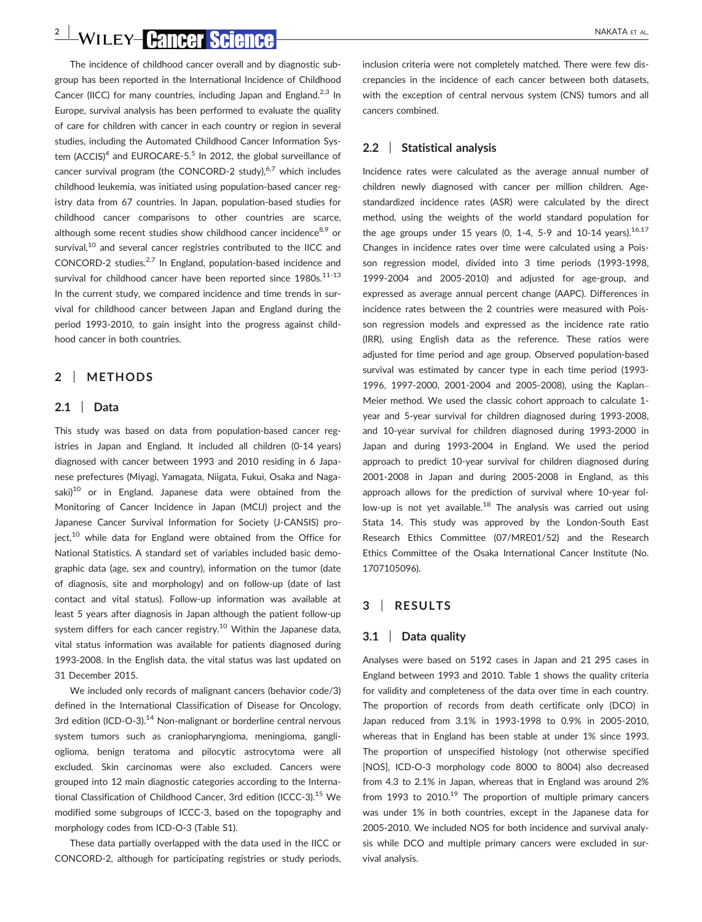The incidence of childhood cancer overall and by diagnostic subgroup has been reported in the International Incidence of Childhood Cancer (IICC) for many countries, including Japan and England.<sup>2,3</sup> In Europe, survival analysis has been performed to evaluate the quality of care for children with cancer in each country or region in several studies, including the Automated Childhood Cancer Information System  $(ACCIS)^4$  and EUROCARE-5.<sup>5</sup> In 2012, the global surveillance of cancer survival program (the CONCORD-2 study), $6,7$  which includes childhood leukemia, was initiated using population-based cancer registry data from 67 countries. In Japan, population-based studies for childhood cancer comparisons to other countries are scarce, although some recent studies show childhood cancer incidence<sup>8,9</sup> or survival,<sup>10</sup> and several cancer registries contributed to the IICC and CONCORD-2 studies. $2,7$  In England, population-based incidence and survival for childhood cancer have been reported since  $1980s$ .<sup>11-13</sup> In the current study, we compared incidence and time trends in survival for childhood cancer between Japan and England during the period 1993-2010, to gain insight into the progress against childhood cancer in both countries.

## 2 | METHODS

### 2.1 | Data

This study was based on data from population-based cancer registries in Japan and England. It included all children (0-14 years) diagnosed with cancer between 1993 and 2010 residing in 6 Japanese prefectures (Miyagi, Yamagata, Niigata, Fukui, Osaka and Nagasaki) $10$  or in England. Japanese data were obtained from the Monitoring of Cancer Incidence in Japan (MCIJ) project and the Japanese Cancer Survival Information for Society (J-CANSIS) project, $10$  while data for England were obtained from the Office for National Statistics. A standard set of variables included basic demographic data (age, sex and country), information on the tumor (date of diagnosis, site and morphology) and on follow-up (date of last contact and vital status). Follow-up information was available at least 5 years after diagnosis in Japan although the patient follow-up system differs for each cancer registry.<sup>10</sup> Within the Japanese data, vital status information was available for patients diagnosed during 1993-2008. In the English data, the vital status was last updated on 31 December 2015.

We included only records of malignant cancers (behavior code/3) defined in the International Classification of Disease for Oncology, 3rd edition (ICD-O-3).<sup>14</sup> Non-malignant or borderline central nervous system tumors such as craniopharyngioma, meningioma, ganglioglioma, benign teratoma and pilocytic astrocytoma were all excluded. Skin carcinomas were also excluded. Cancers were grouped into 12 main diagnostic categories according to the International Classification of Childhood Cancer, 3rd edition (ICCC-3).<sup>15</sup> We modified some subgroups of ICCC-3, based on the topography and morphology codes from ICD-O-3 (Table S1).

These data partially overlapped with the data used in the IICC or CONCORD-2, although for participating registries or study periods,

inclusion criteria were not completely matched. There were few discrepancies in the incidence of each cancer between both datasets, with the exception of central nervous system (CNS) tumors and all cancers combined.

#### 2.2 | Statistical analysis

Incidence rates were calculated as the average annual number of children newly diagnosed with cancer per million children. Agestandardized incidence rates (ASR) were calculated by the direct method, using the weights of the world standard population for the age groups under 15 years (0, 1-4, 5-9 and 10-14 years).  $16,17$ Changes in incidence rates over time were calculated using a Poisson regression model, divided into 3 time periods (1993-1998, 1999-2004 and 2005-2010) and adjusted for age-group, and expressed as average annual percent change (AAPC). Differences in incidence rates between the 2 countries were measured with Poisson regression models and expressed as the incidence rate ratio (IRR), using English data as the reference. These ratios were adjusted for time period and age group. Observed population-based survival was estimated by cancer type in each time period (1993- 1996, 1997-2000, 2001-2004 and 2005-2008), using the Kaplan– Meier method. We used the classic cohort approach to calculate 1 year and 5-year survival for children diagnosed during 1993-2008, and 10-year survival for children diagnosed during 1993-2000 in Japan and during 1993-2004 in England. We used the period approach to predict 10-year survival for children diagnosed during 2001-2008 in Japan and during 2005-2008 in England, as this approach allows for the prediction of survival where 10-year follow-up is not yet available.<sup>18</sup> The analysis was carried out using Stata 14. This study was approved by the London-South East Research Ethics Committee (07/MRE01/52) and the Research Ethics Committee of the Osaka International Cancer Institute (No. 1707105096).

## 3 | RESULTS

#### 3.1 | Data quality

Analyses were based on 5192 cases in Japan and 21 295 cases in England between 1993 and 2010. Table 1 shows the quality criteria for validity and completeness of the data over time in each country. The proportion of records from death certificate only (DCO) in Japan reduced from 3.1% in 1993-1998 to 0.9% in 2005-2010, whereas that in England has been stable at under 1% since 1993. The proportion of unspecified histology (not otherwise specified [NOS], ICD-O-3 morphology code 8000 to 8004) also decreased from 4.3 to 2.1% in Japan, whereas that in England was around 2% from 1993 to  $2010.<sup>19</sup>$  The proportion of multiple primary cancers was under 1% in both countries, except in the Japanese data for 2005-2010. We included NOS for both incidence and survival analysis while DCO and multiple primary cancers were excluded in survival analysis.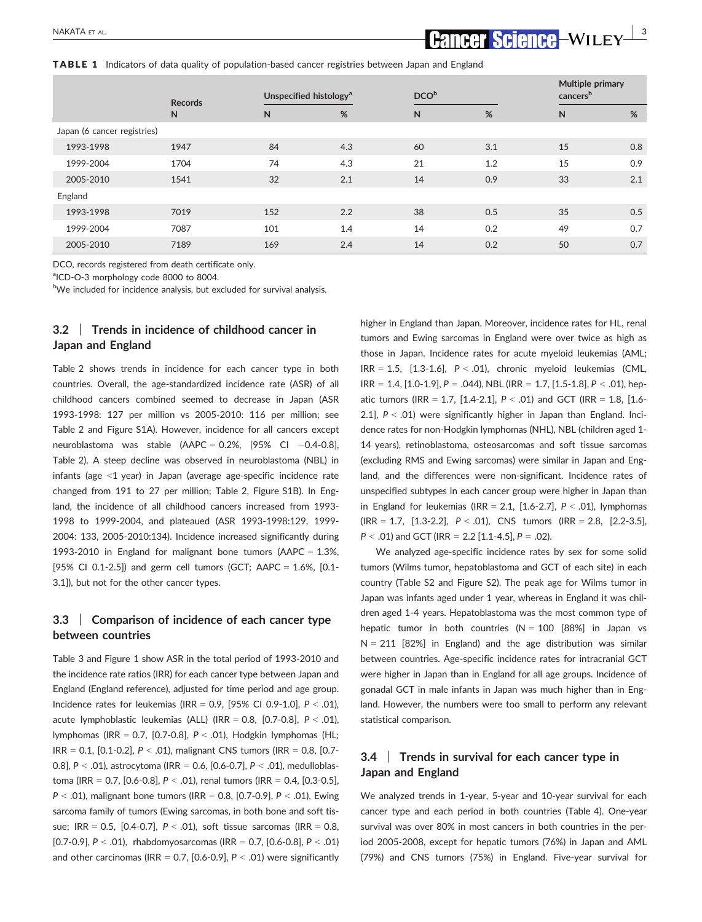# NAKATA ET AL. **NAKATA ET AL. INAKATA ET AL. INAKATA ET AL. INAKATA ET AL. INAKATA ET AL. INAKATA ET AL. INAKATA ET AL. INAKATA ET AL. INAKATA ET AL. INAKATA ET AL. INAKATA ET AL. INAKATA ET AL. INAK**

TABLE 1 Indicators of data quality of population-based cancer registries between Japan and England

|                             | <b>Records</b> | Unspecified histology <sup>a</sup> |      | DCO <sup>b</sup> |     | Multiple primary<br>cancers <sup>b</sup> |     |
|-----------------------------|----------------|------------------------------------|------|------------------|-----|------------------------------------------|-----|
|                             | N              | N                                  | $\%$ | $\mathsf{N}$     | %   | N                                        | %   |
| Japan (6 cancer registries) |                |                                    |      |                  |     |                                          |     |
| 1993-1998                   | 1947           | 84                                 | 4.3  | 60               | 3.1 | 15                                       | 0.8 |
| 1999-2004                   | 1704           | 74                                 | 4.3  | 21               | 1.2 | 15                                       | 0.9 |
| 2005-2010                   | 1541           | 32                                 | 2.1  | 14               | 0.9 | 33                                       | 2.1 |
| England                     |                |                                    |      |                  |     |                                          |     |
| 1993-1998                   | 7019           | 152                                | 2.2  | 38               | 0.5 | 35                                       | 0.5 |
| 1999-2004                   | 7087           | 101                                | 1.4  | 14               | 0.2 | 49                                       | 0.7 |
| 2005-2010                   | 7189           | 169                                | 2.4  | 14               | 0.2 | 50                                       | 0.7 |

DCO, records registered from death certificate only.

<sup>a</sup>ICD-O-3 morphology code 8000 to 8004.

<sup>b</sup>We included for incidence analysis, but excluded for survival analysis.

## 3.2 | Trends in incidence of childhood cancer in Japan and England

Table 2 shows trends in incidence for each cancer type in both countries. Overall, the age-standardized incidence rate (ASR) of all childhood cancers combined seemed to decrease in Japan (ASR 1993-1998: 127 per million vs 2005-2010: 116 per million; see Table 2 and Figure S1A). However, incidence for all cancers except neuroblastoma was stable (AAPC =  $0.2\%$ , [95% CI -0.4-0.8], Table 2). A steep decline was observed in neuroblastoma (NBL) in infants (age <1 year) in Japan (average age-specific incidence rate changed from 191 to 27 per million; Table 2, Figure S1B). In England, the incidence of all childhood cancers increased from 1993- 1998 to 1999-2004, and plateaued (ASR 1993-1998:129, 1999- 2004: 133, 2005-2010:134). Incidence increased significantly during 1993-2010 in England for malignant bone tumors (AAPC =  $1.3\%$ , [95% CI 0.1-2.5]) and germ cell tumors (GCT; AAPC =  $1.6\%$ , [0.1-3.1]), but not for the other cancer types.

## 3.3 | Comparison of incidence of each cancer type between countries

Table 3 and Figure 1 show ASR in the total period of 1993-2010 and the incidence rate ratios (IRR) for each cancer type between Japan and England (England reference), adjusted for time period and age group. Incidence rates for leukemias (IRR = 0.9, [95% CI 0.9-1.0],  $P < .01$ ), acute lymphoblastic leukemias (ALL) (IRR = 0.8, [0.7-0.8],  $P < .01$ ), lymphomas (IRR = 0.7, [0.7-0.8], P < .01), Hodgkin lymphomas (HL; IRR = 0.1, [0.1-0.2], P < .01), malignant CNS tumors (IRR = 0.8, [0.7- 0.8], P < .01), astrocytoma (IRR = 0.6, [0.6-0.7], P < .01), medulloblastoma (IRR = 0.7, [0.6-0.8],  $P < .01$ ), renal tumors (IRR = 0.4, [0.3-0.5],  $P < .01$ ), malignant bone tumors (IRR = 0.8, [0.7-0.9],  $P < .01$ ), Ewing sarcoma family of tumors (Ewing sarcomas, in both bone and soft tissue; IRR = 0.5, [0.4-0.7],  $P < .01$ ), soft tissue sarcomas (IRR = 0.8, [0.7-0.9],  $P < .01$ ], rhabdomyosarcomas (IRR = 0.7, [0.6-0.8],  $P < .01$ ] and other carcinomas (IRR = 0.7, [0.6-0.9],  $P < .01$ ) were significantly higher in England than Japan. Moreover, incidence rates for HL, renal tumors and Ewing sarcomas in England were over twice as high as those in Japan. Incidence rates for acute myeloid leukemias (AML;  $IRR = 1.5, [1.3-1.6], P < .01$ , chronic myeloid leukemias (CML,  $IRR = 1.4$ ,  $[1.0-1.9]$ ,  $P = .044$ ), NBL (IRR = 1.7,  $[1.5-1.8]$ ,  $P < .01$ ), hepatic tumors (IRR = 1.7, [1.4-2.1],  $P < .01$ ) and GCT (IRR = 1.8, [1.6-2.1],  $P < .01$ ) were significantly higher in Japan than England. Incidence rates for non-Hodgkin lymphomas (NHL), NBL (children aged 1- 14 years), retinoblastoma, osteosarcomas and soft tissue sarcomas (excluding RMS and Ewing sarcomas) were similar in Japan and England, and the differences were non-significant. Incidence rates of unspecified subtypes in each cancer group were higher in Japan than in England for leukemias (IRR = 2.1, [1.6-2.7],  $P < .01$ ), lymphomas  $(IRR = 1.7, [1.3-2.2], P < .01$ , CNS tumors  $(IRR = 2.8, [2.2-3.5],$  $P < .01$ ) and GCT (IRR = 2.2 [1.1-4.5],  $P = .02$ ).

We analyzed age-specific incidence rates by sex for some solid tumors (Wilms tumor, hepatoblastoma and GCT of each site) in each country (Table S2 and Figure S2). The peak age for Wilms tumor in Japan was infants aged under 1 year, whereas in England it was children aged 1-4 years. Hepatoblastoma was the most common type of hepatic tumor in both countries  $(N = 100$  [88%] in Japan vs  $N = 211$  [82%] in England) and the age distribution was similar between countries. Age-specific incidence rates for intracranial GCT were higher in Japan than in England for all age groups. Incidence of gonadal GCT in male infants in Japan was much higher than in England. However, the numbers were too small to perform any relevant statistical comparison.

## 3.4 | Trends in survival for each cancer type in Japan and England

We analyzed trends in 1-year, 5-year and 10-year survival for each cancer type and each period in both countries (Table 4). One-year survival was over 80% in most cancers in both countries in the period 2005-2008, except for hepatic tumors (76%) in Japan and AML (79%) and CNS tumors (75%) in England. Five-year survival for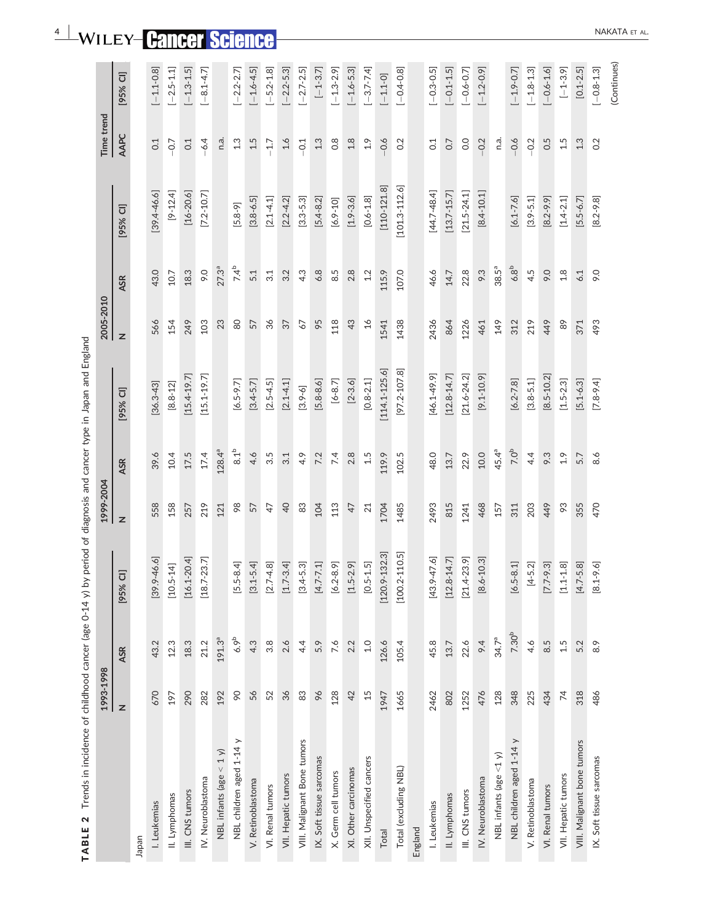| Trends in incidence of childhood cancer (age 0-14 y)<br>TABLE <sub>2</sub> | 1993-1998                 |                   |                                   | 1999-2004      |                  | by period of diagnosis and cancer type in Japan and England | 2005-2010 |                  |                   | Time trend    |                |
|----------------------------------------------------------------------------|---------------------------|-------------------|-----------------------------------|----------------|------------------|-------------------------------------------------------------|-----------|------------------|-------------------|---------------|----------------|
|                                                                            | $\mathbb{Z}$              | <b>ASR</b>        | $\overline{c}$<br>[95%            | $\mathbf{z}$   | <b>ASR</b>       | [95% CI]                                                    | z         | <b>ASR</b>       | $[95%$ CI]        | AAPC          | [95% CI]       |
| Japan                                                                      |                           |                   |                                   |                |                  |                                                             |           |                  |                   |               |                |
| I. Leukemias                                                               | 670                       | 43.2              | $.9 - 46.6$<br>[39]               | 558            | 39.6             | $[36.3 - 43]$                                               | 566       | 43.0             | $[39.4 - 46.6]$   | 0.1           | $[-1.1 - 0.8]$ |
| II. Lymphomas                                                              | 197                       | 12.3              | $-5 - 14$ ]<br>$\overline{10}$    | 158            | 10.4             | $[8.8 - 12]$                                                | 154       | 10.7             | $[9 - 12.4]$      | $-0.7$        | $[-2.5 - 1.1]$ |
| III. CNS tumors                                                            | 290                       | 18.3              | $[16.1 - 20.4]$                   | 257            | 17.5             | $[15.4 - 19.7]$                                             | 249       | 18.3             | $[16 - 20.6]$     | 0.1           | $[-1.3 - 1.5]$ |
| IV. Neuroblastoma                                                          | 282                       | 21.2              | $[18.7 - 23.7]$                   | 219            | 17.4             | $[15.1 - 19.7]$                                             | 103       | 9.0              | $[7.2 - 10.7]$    | $-6.4$        | $[-8.1 - 4.7]$ |
| NBL infants (age $<$ 1 y)                                                  | 192                       | $191.3^{a}$       |                                   | 121            | $128.4^{a}$      |                                                             | 23        | $27.3^{a}$       |                   | n.a           |                |
| NBL children aged 1-14 y                                                   | $\infty$                  | 6.9 <sup>b</sup>  | $-5 - 8.4$<br><u>rs</u>           | 98             | 8.1 <sup>b</sup> | $[6.5 - 9.7]$                                               | 80        | 7.4 <sup>b</sup> | $[5.8 - 9]$       | 1.3           | $[-2.2 - 2.7]$ |
| V. Retinoblastoma                                                          | 56                        | 4.3               | $[3.1 - 5.4]$                     | 57             | 4.6              | $[3.4 - 5.7]$                                               | 57        | 5.1              | $[3.8 - 6.5]$     | 1.5           | $[-1.6 - 4.5]$ |
| VI. Renal tumors                                                           | 52                        | $3.\overline{8}$  | $[2.7 - 4.8]$                     | 47             | 3.5              | $[2.5 - 4.5]$                                               | 96        | 3.1              | $[2.1 - 4.1]$     | $-1.7$        | $[-5.2 - 1.8]$ |
| VII. Hepatic tumors                                                        | 36                        | 2.6               | $[1.7 - 3.4]$                     | $\overline{a}$ | 3.1              | $[2.1 - 4.1]$                                               | 57        | 3.2              | $[2.2 - 4.2]$     | 1.6           | $[-2.2 - 5.3]$ |
| VIII. Malignant Bone tumors                                                | $\stackrel{\sim}{\infty}$ | 4.4               | $.4 - 5.3$<br><u>ෆ</u>            | 83             | 4.9              | $[3.9 - 6]$                                                 | 67        | 4.3              | $[3.3 - 5.3]$     | $-0.1$        | $[-2.7 - 2.5]$ |
| IX. Soft tissue sarcomas                                                   | 96                        | 5.9               | $.7 - 7.1$<br>$\overline{4}$      | 104            | 7.2              | $[5.8 - 8.6]$                                               | 95        | 6.8              | $[5.4 - 8.2]$     | 1.3           | $[-1 - 3.7]$   |
| X. Germ cell tumors                                                        | 128                       | 7.6               | $.2 - 8.9$<br><u>ی</u>            | 113            | 7.4              | $[6 - 8.7]$                                                 | 118       | 8.5              | $[6.9 - 10]$      | $\frac{8}{1}$ | $[-1.3 - 2.9]$ |
| XI. Other carcinomas                                                       | 42                        | 2.2               | $.5 - 2.9$<br>$\Xi$               | 47             | 2.8              | $[2 - 3.6]$                                                 | 43        | 2.8              | $[1.9 - 3.6]$     | $1.8$         | $[-1.6 - 5.3]$ |
| XII. Unspecified cancers                                                   | 15                        | 1.0               | $.5 - 1.5$<br>S                   | $21$           | 1.5              | $[0.8 - 2.1]$                                               | 16        | 1.2              | $[0.6 - 1.8]$     | 1.9           | $[-3.7 - 7.4]$ |
| Total                                                                      | 1947                      | 126.6             | $[120.9 - 132.3]$                 | 1704           | 119.9            | $[114.1 - 125.6]$                                           | 1541      | 115.9            | $[110 - 121.8]$   | 0.6           | $[-1.1 - 0]$   |
| Total (excluding NBL)                                                      | 1665                      | 105.4             | $[100.2 - 110.5]$                 | 1485           | 102.5            | $[97.2 - 107.8]$                                            | 1438      | 107.0            | $[101.3 - 112.6]$ | 0.2           | $[-0.4 - 0.8]$ |
| England                                                                    |                           |                   |                                   |                |                  |                                                             |           |                  |                   |               |                |
| I. Leukemias                                                               | 2462                      | 45.8              | $-47.6$<br>$\frac{3}{43}$         | 2493           | 48.0             | $[46.1 - 49.9]$                                             | 2436      | 46.6             | $[44.7 - 48.4]$   | 0.1           | $[-0.3 - 0.5]$ |
| II. Lymphomas                                                              | 802                       | 13.7              | $[12.8 - 14.7]$                   | 815            | 13.7             | $[12.8 - 14.7]$                                             | 864       | 14.7             | $[13.7 - 15.7]$   | 0.7           | $[-0.1 - 1.5]$ |
| III. CNS tumors                                                            | 1252                      | 22.6              | $[21.4 - 23.9]$                   | 1241           | 22.9             | $[21.6 - 24.2]$                                             | 1226      | 22.8             | $[21.5 - 24.1]$   | $_{\rm 0.0}$  | $[-0.6 - 0.7]$ |
| IV. Neuroblastoma                                                          | 476                       | 9.4               | $6 - 10.3$<br>$\overline{\omega}$ | 468            | 10.0             | $[9.1 - 10.9]$                                              | 461       | 9.3              | $[8.4 - 10.1]$    | $-0.2$        | $[-1.2 - 0.9]$ |
| NBL infants (age $\leq 1$ y)                                               | 128                       | $34.7^a$          |                                   | 157            | $45.4^a$         |                                                             | 149       | $38.5^a$         |                   | n.a.          |                |
| NBL children aged 1-14 y                                                   | 348                       | 7.30 <sup>b</sup> | $.5 - 8.1$<br>$\overline{6}$      | 311            | 7.0 <sup>b</sup> | $[6.2 - 7.8]$                                               | 312       | 6.8 <sup>b</sup> | $[6.1 - 7.6]$     | $-0.6$        | $[-1.9 - 0.7]$ |
| V. Retinoblastoma                                                          | 225                       | 4.6               | $[4 - 5.2]$                       | 203            | 4.4              | $[3.8 - 5.1]$                                               | 219       | 4.5              | $[3.9 - 5.1]$     | $-0.2$        | $[-1.8 - 1.3]$ |
| VI. Renal tumors                                                           | 434                       | 8.5               | $[7.7 - 9.3]$                     | 449            | 9.3              | $[8.5 - 10.2]$                                              | 449       | 9.0              | $[8.2 - 9.9]$     | 0.5           | $[-0.6 - 1.6]$ |
| VII. Hepatic tumors                                                        | $\overline{z}$            | 1.5               | $[1.1 - 1.8]$                     | 83             | 1.9              | $[1.5 - 2.3]$                                               | 8         | 1.8              | $[1.4 - 2.1]$     | 1.5           | $[-1 - 3.9]$   |
| VIII. Malignant bone tumors                                                | 318                       | 5.2               | $[4.7 - 5.8]$                     | 355            | 5.7              | $[5.1 - 6.3]$                                               | 371       | 6.1              | $[5.5 - 6.7]$     | 1.3           | $[0.1 - 2.5]$  |
| IX. Soft tissue sarcomas                                                   | 486                       | 8.9               | $[8.1 - 9.6]$                     | 470            | 8.6              | $[7.8 - 9.4]$                                               | 493       | 9.0              | $[8.2 - 9.8]$     | 0.2           | $[-0.8 - 1.3]$ |
|                                                                            |                           |                   |                                   |                |                  |                                                             |           |                  |                   |               | (Continues)    |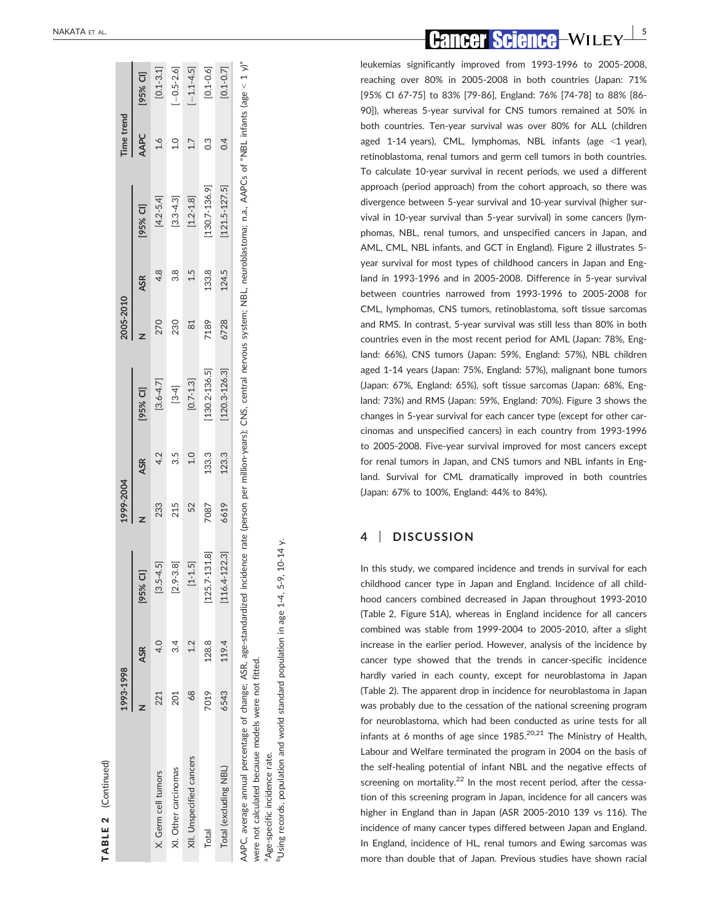|                          | 1993-1998 |               |                   | 1999-2004 |            |                   | 2005-2010 |       |                   | Time trend |                              |
|--------------------------|-----------|---------------|-------------------|-----------|------------|-------------------|-----------|-------|-------------------|------------|------------------------------|
|                          |           | <b>ASR</b>    | [95% CI]          |           | <b>ASR</b> | [95% CI]          |           | ASR   | [D %56)           | AAPC       | [95% CI]                     |
| X. Germ cell tumors      | 221       | $\frac{4}{3}$ | $[3.5 - 4.5]$     | 233       | 4.2        | $[3.6 - 4.7]$     | 270       | 4.8   | $[4.2 - 5.4]$     | 1.6        | $[0.1 - 3.1]$                |
| XI. Other carcinomas     | 201       | 3.4           | $[2.9 - 3.8]$     | 215       | 3.5        | $[3-4]$           | 230       | 3.8   | $[3.3 - 4.3]$     | 1.0        |                              |
| XII. Unspecified cancers | 89        | 1.2           | $[1 - 1.5]$       | 52        | 1.0        | $[0.7 - 1.3]$     | $\approx$ | 1.5   | $[1.2 - 1.8]$     | 1.7        | $[-0.5-2.6]$<br>$[-1.1-4.5]$ |
| Total                    | 7019      | 128.8         | $[125.7 - 131.8]$ | 7087      | 133.3      | 130.2-136.5]      | 7189      | 133.8 | $[130.7 - 136.9]$ | c3         | $[0.1 - 0.6]$                |
| Total (excluding NBL)    | 6543      | 119.4         | $[116.4 - 122.3]$ | 6619      | 123.3      | $[120.3 - 126.3]$ | 6728      | 124.5 | $[121.5 - 127.5]$ | 0.4        | $[0.1 - 0.7]$                |

TABLE 2

(Continued)

TABLE 2 (Continued)

percentage of change; ASR, age-standardized incidence rate (person per million-years); CNS, central nervous system; NBL, neuroblastoma; n.a., AAPCs of "NBL infants (age < 1 y)" AAPC, average annual percentage of change; ASR, age-standardized incidence rate (person per million-years); CNS, central nervous system; NBL, neuroblastoma; n.a., AAPCs of "NBL infants (age < 1 y)" were not calculated because models were not fitted. were not calculated because models were not fitted AAPC, average annual

 $[0.1 - 0.6]$  $[0.1 - 0.7]$ 

 $[0.1 - 3.1]$  $[-0.5 - 2.6]$  $[-1.1 - 4.5]$ 

<sup>a</sup>Age-specific incidence rate. aAge-specific incidence rate.

5-9, 10-14 v. bUsing records, population and world standard population in age 1-4, 5-9, 10-14 y. bUsing records, population and world standard population in age 1-4, **Cer Science -WILEY** 

leukemias significantly improved from 1993-1996 to 2005-2008, reaching over 80% in 2005-2008 in both countries (Japan: 71% [95% CI 67-75] to 83% [79-86], England: 76% [74-78] to 88% [86- 90]), whereas 5-year survival for CNS tumors remained at 50% in both countries. Ten-year survival was over 80% for ALL (children aged 1-14 years), CML, lymphomas, NBL infants (age <1 year), retinoblastoma, renal tumors and germ cell tumors in both countries. To calculate 10-year survival in recent periods, we used a different approach (period approach) from the cohort approach, so there was divergence between 5-year survival and 10-year survival (higher survival in 10-year survival than 5-year survival) in some cancers (lymphomas, NBL, renal tumors, and unspecified cancers in Japan, and AML, CML, NBL infants, and GCT in England). Figure 2 illustrates 5 year survival for most types of childhood cancers in Japan and England in 1993-1996 and in 2005-2008. Difference in 5-year survival between countries narrowed from 1993-1996 to 2005-2008 for CML, lymphomas, CNS tumors, retinoblastoma, soft tissue sarcomas and RMS. In contrast, 5-year survival was still less than 80% in both countries even in the most recent period for AML (Japan: 78%, England: 66%), CNS tumors (Japan: 59%, England: 57%), NBL children aged 1-14 years (Japan: 75%, England: 57%), malignant bone tumors (Japan: 67%, England: 65%), soft tissue sarcomas (Japan: 68%, England: 73%) and RMS (Japan: 59%, England: 70%). Figure 3 shows the changes in 5-year survival for each cancer type (except for other carcinomas and unspecified cancers) in each country from 1993-1996 to 2005-2008. Five-year survival improved for most cancers except for renal tumors in Japan, and CNS tumors and NBL infants in England. Survival for CML dramatically improved in both countries (Japan: 67% to 100%, England: 44% to 84%).

## 4 | DISCUSSION

In this study, we compared incidence and trends in survival for each childhood cancer type in Japan and England. Incidence of all childhood cancers combined decreased in Japan throughout 1993-2010 (Table 2, Figure S1A), whereas in England incidence for all cancers combined was stable from 1999-2004 to 2005-2010, after a slight increase in the earlier period. However, analysis of the incidence by cancer type showed that the trends in cancer-specific incidence hardly varied in each county, except for neuroblastoma in Japan (Table 2). The apparent drop in incidence for neuroblastoma in Japan was probably due to the cessation of the national screening program for neuroblastoma, which had been conducted as urine tests for all infants at 6 months of age since  $1985$ <sup>20,21</sup> The Ministry of Health, Labour and Welfare terminated the program in 2004 on the basis of the self-healing potential of infant NBL and the negative effects of screening on mortality. $22$  In the most recent period, after the cessation of this screening program in Japan, incidence for all cancers was higher in England than in Japan (ASR 2005-2010 139 vs 116). The incidence of many cancer types differed between Japan and England. In England, incidence of HL, renal tumors and Ewing sarcomas was more than double that of Japan. Previous studies have shown racial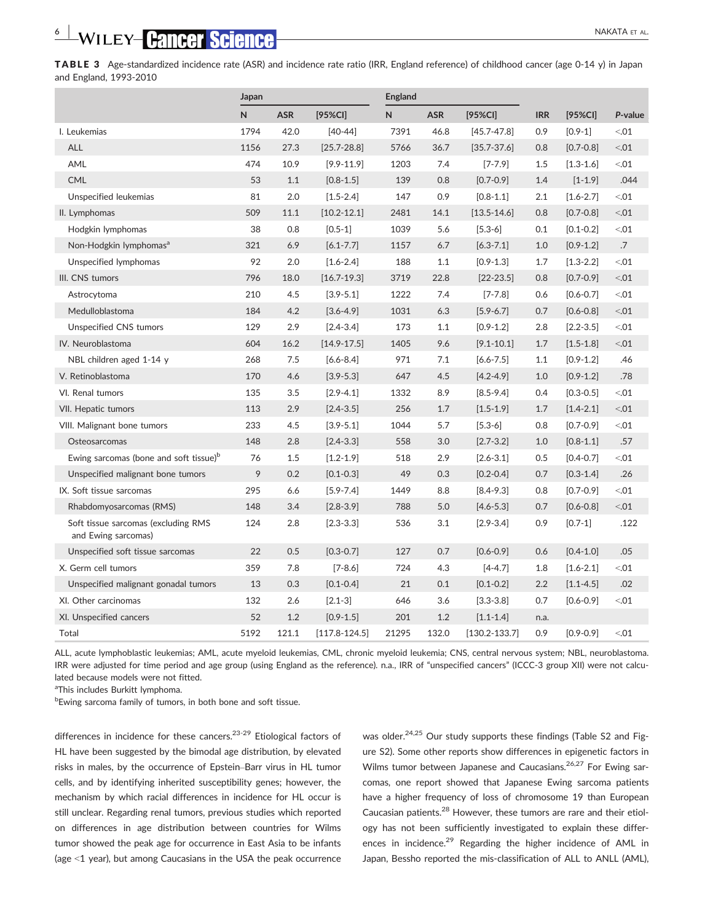TABLE 3 Age-standardized incidence rate (ASR) and incidence rate ratio (IRR, England reference) of childhood cancer (age 0-14 y) in Japan and England, 1993-2010

|                                                            | Japan |            |                   | <b>England</b> |            |                   |            |               |         |
|------------------------------------------------------------|-------|------------|-------------------|----------------|------------|-------------------|------------|---------------|---------|
|                                                            | N     | <b>ASR</b> | [95%CI]           | N              | <b>ASR</b> | [95%CI]           | <b>IRR</b> | [95%CI]       | P-value |
| I. Leukemias                                               | 1794  | 42.0       | $[40 - 44]$       | 7391           | 46.8       | $[45.7 - 47.8]$   | 0.9        | $[0.9-1]$     | < 0.01  |
| <b>ALL</b>                                                 | 1156  | 27.3       | $[25.7 - 28.8]$   | 5766           | 36.7       | $[35.7 - 37.6]$   | 0.8        | $[0.7 - 0.8]$ | < 0.01  |
| AML                                                        | 474   | 10.9       | $[9.9 - 11.9]$    | 1203           | 7.4        | $[7 - 7.9]$       | 1.5        | $[1.3 - 1.6]$ | < 0.01  |
| <b>CML</b>                                                 | 53    | 1.1        | $[0.8 - 1.5]$     | 139            | 0.8        | $[0.7 - 0.9]$     | 1.4        | $[1 - 1.9]$   | .044    |
| Unspecified leukemias                                      | 81    | 2.0        | $[1.5 - 2.4]$     | 147            | 0.9        | $[0.8 - 1.1]$     | 2.1        | $[1.6 - 2.7]$ | < 0.01  |
| II. Lymphomas                                              | 509   | 11.1       | $[10.2 - 12.1]$   | 2481           | 14.1       | $[13.5 - 14.6]$   | 0.8        | $[0.7 - 0.8]$ | < 0.01  |
| Hodgkin lymphomas                                          | 38    | 0.8        | $[0.5-1]$         | 1039           | 5.6        | $[5.3-6]$         | 0.1        | $[0.1 - 0.2]$ | < 0.01  |
| Non-Hodgkin lymphomas <sup>a</sup>                         | 321   | 6.9        | $[6.1 - 7.7]$     | 1157           | 6.7        | $[6.3 - 7.1]$     | 1.0        | $[0.9 - 1.2]$ | $.7\,$  |
| Unspecified lymphomas                                      | 92    | 2.0        | $[1.6 - 2.4]$     | 188            | 1.1        | $[0.9 - 1.3]$     | 1.7        | $[1.3 - 2.2]$ | < 0.01  |
| III. CNS tumors                                            | 796   | 18.0       | $[16.7 - 19.3]$   | 3719           | 22.8       | $[22 - 23.5]$     | 0.8        | $[0.7 - 0.9]$ | < 0.01  |
| Astrocytoma                                                | 210   | 4.5        | $[3.9 - 5.1]$     | 1222           | 7.4        | $[7 - 7.8]$       | 0.6        | $[0.6 - 0.7]$ | < 0.01  |
| Medulloblastoma                                            | 184   | 4.2        | $[3.6 - 4.9]$     | 1031           | 6.3        | $[5.9 - 6.7]$     | 0.7        | $[0.6 - 0.8]$ | < 01    |
| <b>Unspecified CNS tumors</b>                              | 129   | 2.9        | $[2.4 - 3.4]$     | 173            | 1.1        | $[0.9 - 1.2]$     | 2.8        | $[2.2 - 3.5]$ | < 0.01  |
| IV. Neuroblastoma                                          | 604   | 16.2       | $[14.9 - 17.5]$   | 1405           | 9.6        | $[9.1 - 10.1]$    | 1.7        | $[1.5 - 1.8]$ | < 01    |
| NBL children aged 1-14 y                                   | 268   | 7.5        | $[6.6 - 8.4]$     | 971            | 7.1        | $[6.6 - 7.5]$     | 1.1        | $[0.9 - 1.2]$ | .46     |
| V. Retinoblastoma                                          | 170   | 4.6        | $[3.9 - 5.3]$     | 647            | 4.5        | $[4.2 - 4.9]$     | 1.0        | $[0.9 - 1.2]$ | .78     |
| VI. Renal tumors                                           | 135   | 3.5        | $[2.9 - 4.1]$     | 1332           | 8.9        | $[8.5 - 9.4]$     | 0.4        | $[0.3 - 0.5]$ | < 0.01  |
| VII. Hepatic tumors                                        | 113   | 2.9        | $[2.4 - 3.5]$     | 256            | 1.7        | $[1.5 - 1.9]$     | 1.7        | $[1.4 - 2.1]$ | < 0.01  |
| VIII. Malignant bone tumors                                | 233   | 4.5        | $[3.9 - 5.1]$     | 1044           | 5.7        | $[5.3-6]$         | 0.8        | $[0.7 - 0.9]$ | < 0.01  |
| Osteosarcomas                                              | 148   | 2.8        | $[2.4 - 3.3]$     | 558            | 3.0        | $[2.7 - 3.2]$     | 1.0        | $[0.8 - 1.1]$ | .57     |
| Ewing sarcomas (bone and soft tissue) <sup>b</sup>         | 76    | 1.5        | $[1.2 - 1.9]$     | 518            | 2.9        | $[2.6 - 3.1]$     | 0.5        | $[0.4 - 0.7]$ | < 01    |
| Unspecified malignant bone tumors                          | 9     | 0.2        | $[0.1 - 0.3]$     | 49             | 0.3        | $[0.2 - 0.4]$     | 0.7        | $[0.3 - 1.4]$ | .26     |
| IX. Soft tissue sarcomas                                   | 295   | 6.6        | $[5.9 - 7.4]$     | 1449           | 8.8        | $[8.4 - 9.3]$     | 0.8        | $[0.7 - 0.9]$ | < 0.01  |
| Rhabdomyosarcomas (RMS)                                    | 148   | 3.4        | $[2.8 - 3.9]$     | 788            | 5.0        | $[4.6 - 5.3]$     | 0.7        | $[0.6 - 0.8]$ | < 0.01  |
| Soft tissue sarcomas (excluding RMS<br>and Ewing sarcomas) | 124   | 2.8        | $[2.3 - 3.3]$     | 536            | 3.1        | $[2.9 - 3.4]$     | 0.9        | $[0.7-1]$     | .122    |
| Unspecified soft tissue sarcomas                           | 22    | 0.5        | $[0.3 - 0.7]$     | 127            | 0.7        | $[0.6 - 0.9]$     | 0.6        | $[0.4 - 1.0]$ | .05     |
| X. Germ cell tumors                                        | 359   | 7.8        | $[7-8.6]$         | 724            | 4.3        | $[4-4.7]$         | 1.8        | $[1.6 - 2.1]$ | < 0.01  |
| Unspecified malignant gonadal tumors                       | 13    | 0.3        | $[0.1 - 0.4]$     | 21             | 0.1        | $[0.1 - 0.2]$     | 2.2        | $[1.1 - 4.5]$ | .02     |
| XI. Other carcinomas                                       | 132   | 2.6        | $[2.1-3]$         | 646            | 3.6        | $[3.3 - 3.8]$     | 0.7        | $[0.6 - 0.9]$ | < 0.01  |
| XI. Unspecified cancers                                    | 52    | 1.2        | $[0.9 - 1.5]$     | 201            | 1.2        | $[1.1 - 1.4]$     | n.a.       |               |         |
| Total                                                      | 5192  | 121.1      | $[117.8 - 124.5]$ | 21295          | 132.0      | $[130.2 - 133.7]$ | 0.9        | $[0.9 - 0.9]$ | < 01    |

ALL, acute lymphoblastic leukemias; AML, acute myeloid leukemias, CML, chronic myeloid leukemia; CNS, central nervous system; NBL, neuroblastoma. IRR were adjusted for time period and age group (using England as the reference). n.a., IRR of "unspecified cancers" (ICCC-3 group XII) were not calculated because models were not fitted.

<sup>a</sup>This includes Burkitt lymphoma.

<sup>b</sup>Ewing sarcoma family of tumors, in both bone and soft tissue.

differences in incidence for these cancers.<sup>23-29</sup> Etiological factors of HL have been suggested by the bimodal age distribution, by elevated risks in males, by the occurrence of Epstein–Barr virus in HL tumor cells, and by identifying inherited susceptibility genes; however, the mechanism by which racial differences in incidence for HL occur is still unclear. Regarding renal tumors, previous studies which reported on differences in age distribution between countries for Wilms tumor showed the peak age for occurrence in East Asia to be infants (age <1 year), but among Caucasians in the USA the peak occurrence was older.<sup>24,25</sup> Our study supports these findings (Table S2 and Figure S2). Some other reports show differences in epigenetic factors in Wilms tumor between Japanese and Caucasians.<sup>26,27</sup> For Ewing sarcomas, one report showed that Japanese Ewing sarcoma patients have a higher frequency of loss of chromosome 19 than European Caucasian patients.28 However, these tumors are rare and their etiology has not been sufficiently investigated to explain these differences in incidence.<sup>29</sup> Regarding the higher incidence of AML in Japan, Bessho reported the mis-classification of ALL to ANLL (AML),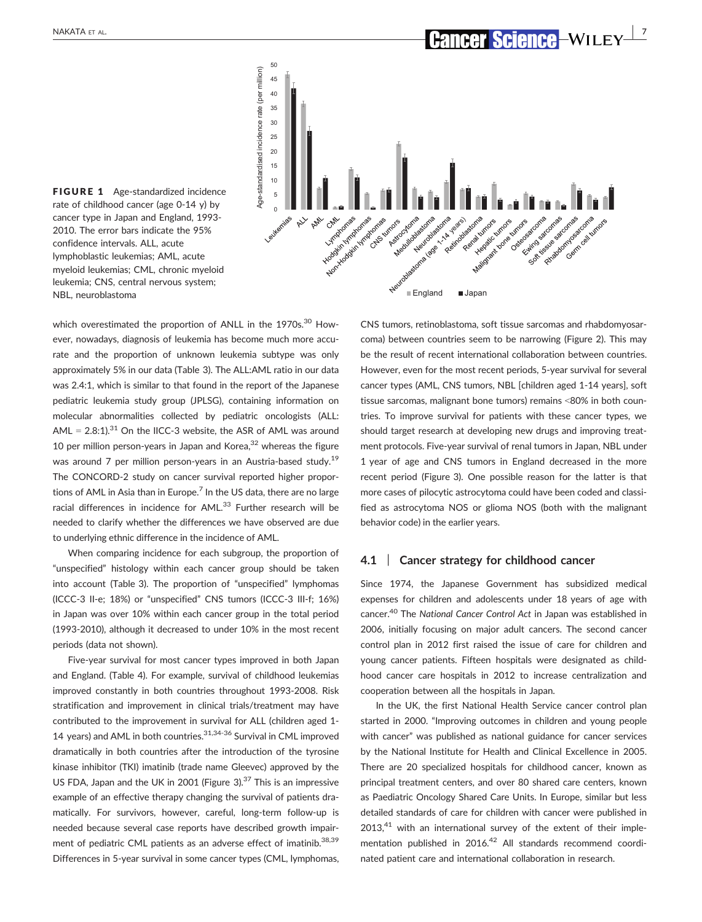

FIGURE 1 Age-standardized incidence rate of childhood cancer (age 0-14 y) by cancer type in Japan and England, 1993- 2010. The error bars indicate the 95% confidence intervals. ALL, acute lymphoblastic leukemias; AML, acute myeloid leukemias; CML, chronic myeloid leukemia; CNS, central nervous system; NBL, neuroblastoma

which overestimated the proportion of ANLL in the 1970s.<sup>30</sup> However, nowadays, diagnosis of leukemia has become much more accurate and the proportion of unknown leukemia subtype was only approximately 5% in our data (Table 3). The ALL:AML ratio in our data was 2.4:1, which is similar to that found in the report of the Japanese pediatric leukemia study group (JPLSG), containing information on molecular abnormalities collected by pediatric oncologists (ALL: AML =  $2.8:1$ ).<sup>31</sup> On the IICC-3 website, the ASR of AML was around 10 per million person-years in Japan and Korea, $32$  whereas the figure was around 7 per million person-years in an Austria-based study.<sup>19</sup> The CONCORD-2 study on cancer survival reported higher proportions of AML in Asia than in Europe.<sup>7</sup> In the US data, there are no large racial differences in incidence for AML.<sup>33</sup> Further research will be needed to clarify whether the differences we have observed are due to underlying ethnic difference in the incidence of AML.

When comparing incidence for each subgroup, the proportion of "unspecified" histology within each cancer group should be taken into account (Table 3). The proportion of "unspecified" lymphomas (ICCC-3 II-e; 18%) or "unspecified" CNS tumors (ICCC-3 III-f; 16%) in Japan was over 10% within each cancer group in the total period (1993-2010), although it decreased to under 10% in the most recent periods (data not shown).

Five-year survival for most cancer types improved in both Japan and England. (Table 4). For example, survival of childhood leukemias improved constantly in both countries throughout 1993-2008. Risk stratification and improvement in clinical trials/treatment may have contributed to the improvement in survival for ALL (children aged 1- 14 years) and AML in both countries.<sup>31,34-36</sup> Survival in CML improved dramatically in both countries after the introduction of the tyrosine kinase inhibitor (TKI) imatinib (trade name Gleevec) approved by the US FDA, Japan and the UK in 2001 (Figure 3). $37$  This is an impressive example of an effective therapy changing the survival of patients dramatically. For survivors, however, careful, long-term follow-up is needed because several case reports have described growth impairment of pediatric CML patients as an adverse effect of imatinib.<sup>38,39</sup> Differences in 5-year survival in some cancer types (CML, lymphomas, CNS tumors, retinoblastoma, soft tissue sarcomas and rhabdomyosarcoma) between countries seem to be narrowing (Figure 2). This may be the result of recent international collaboration between countries. However, even for the most recent periods, 5-year survival for several cancer types (AML, CNS tumors, NBL [children aged 1-14 years], soft tissue sarcomas, malignant bone tumors) remains <80% in both countries. To improve survival for patients with these cancer types, we should target research at developing new drugs and improving treatment protocols. Five-year survival of renal tumors in Japan, NBL under 1 year of age and CNS tumors in England decreased in the more recent period (Figure 3). One possible reason for the latter is that more cases of pilocytic astrocytoma could have been coded and classified as astrocytoma NOS or glioma NOS (both with the malignant behavior code) in the earlier years.

## 4.1 | Cancer strategy for childhood cancer

Since 1974, the Japanese Government has subsidized medical expenses for children and adolescents under 18 years of age with cancer.40 The National Cancer Control Act in Japan was established in 2006, initially focusing on major adult cancers. The second cancer control plan in 2012 first raised the issue of care for children and young cancer patients. Fifteen hospitals were designated as childhood cancer care hospitals in 2012 to increase centralization and cooperation between all the hospitals in Japan.

In the UK, the first National Health Service cancer control plan started in 2000. "Improving outcomes in children and young people with cancer" was published as national guidance for cancer services by the National Institute for Health and Clinical Excellence in 2005. There are 20 specialized hospitals for childhood cancer, known as principal treatment centers, and over 80 shared care centers, known as Paediatric Oncology Shared Care Units. In Europe, similar but less detailed standards of care for children with cancer were published in  $2013<sup>41</sup>$  with an international survey of the extent of their implementation published in 2016.<sup>42</sup> All standards recommend coordinated patient care and international collaboration in research.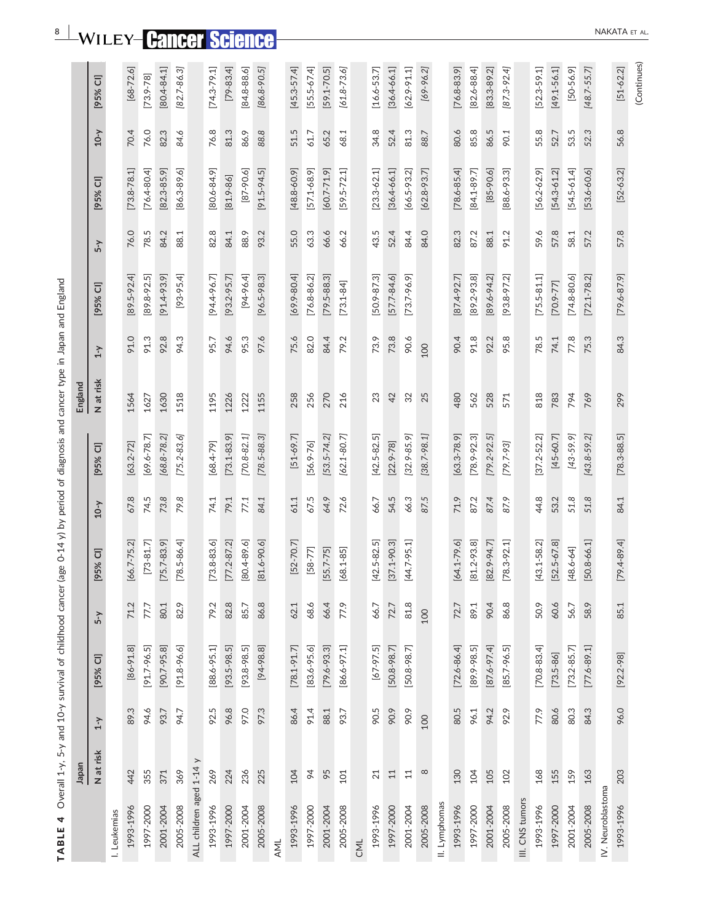| 4<br>TABLE             |                 |         | Overall 1-y, 5-y and 10-y survival of childhood cancer |       |                        |        | (age 0-14 y) by period of diagnosis and cancer type in Japan and England |           |         |                        |         |                 |        |                 |
|------------------------|-----------------|---------|--------------------------------------------------------|-------|------------------------|--------|--------------------------------------------------------------------------|-----------|---------|------------------------|---------|-----------------|--------|-----------------|
|                        | <b>Inpan</b>    |         |                                                        |       |                        |        |                                                                          | England   |         |                        |         |                 |        |                 |
|                        | N at risk       | $1 - y$ | $\overline{c}$<br>[95%                                 | $5-y$ | $\overline{c}$<br>[95% | $10-y$ | $\overline{c}$<br>[95%                                                   | N at risk | $1 - y$ | $\overline{5}$<br>[95% | $5 - y$ | [95% CI]        | $10-y$ | [95% CI]        |
| I. Leukemias           |                 |         |                                                        |       |                        |        |                                                                          |           |         |                        |         |                 |        |                 |
| 1993-1996              | 442             | 89.3    | $[86 - 91.8]$                                          | 71.2  | [66.7-75.2]            | 67.8   | $[63.2 - 72]$                                                            | 1564      | 91.0    | $[89.5 - 92.4]$        | 76.0    | $[73.8 - 78.1]$ | 70.4   | $[68 - 72.6]$   |
| 1997-2000              | 355             | 94.6    | $[91.7 - 96.5]$                                        | 77.7  | $[73 - 81.7]$          | 74.5   | $[69.6 - 78.7]$                                                          | 1627      | 91.3    | $[89.8 - 92.5]$        | 78.5    | $[76.4 - 80.4]$ | 76.0   | $[73.9 - 78]$   |
| 2001-2004              | 371             | 93.7    | $[90.7 - 95.8]$                                        | 80.1  | $[75.7 - 83.9]$        | 73.8   | $[68.8 - 78.2]$                                                          | 1630      | 92.8    | $[91.4 - 93.9]$        | 84.2    | $[82.3 - 85.9]$ | 82.3   | $[80.4 - 84.1]$ |
| 2005-2008              | 369             | 94.7    | $[91.8 - 96.6]$                                        | 82.9  | $[78.5 - 86.4]$        | 79.8   | $[75.2 - 83.6]$                                                          | 1518      | 94.3    | $[93-95.4]$            | 88.1    | $[86.3 - 89.6]$ | 84.6   | $[82.7 - 86.3]$ |
| ALL children aged 1-14 | $\rightarrow$   |         |                                                        |       |                        |        |                                                                          |           |         |                        |         |                 |        |                 |
| 1993-1996              | 269             | 92.5    | $[88.6 - 95.1]$                                        | 79.2  | $[73.8 - 83.6]$        | 74.1   | $[68.4 - 79]$                                                            | 1195      | 95.7    | $[94.4 - 96.7]$        | 82.8    | $[80.6 - 84.9]$ | 76.8   | $[74.3 - 79.1]$ |
| 1997-2000              | 224             | 96.8    | $[93.5 - 98.5]$                                        | 82.8  | $[77.2 - 87.2]$        | 79.1   | $[73.1 - 83.9]$                                                          | 1226      | 94.6    | $[93.2 - 95.7]$        | 84.1    | $[81.9 - 86]$   | 81.3   | $[79 - 83.4]$   |
| 2001-2004              | 236             | 97.0    | $[93.8 - 98.5]$                                        | 85.7  | $[80.4 - 89.6]$        | 77.1   | $[70.8 - 82.1]$                                                          | 1222      | 95.3    | $[94 - 96.4]$          | 88.9    | $[87 - 90.6]$   | 86.9   | $[84.8 - 88.6]$ |
| 2005-2008              | 225             | 97.3    | $[94 - 98.8]$                                          | 86.8  | $[81.6 - 90.6]$        | 84.1   | $[78.5 - 88.3]$                                                          | 1155      | 97.6    | $[96.5 - 98.3]$        | 93.2    | $[91.5 - 94.5]$ | 88.8   | $[86.8 - 90.5]$ |
| <b>AML</b>             |                 |         |                                                        |       |                        |        |                                                                          |           |         |                        |         |                 |        |                 |
| 1993-1996              | 104             | 86.4    | $[78.1 - 91.7]$                                        | 62.1  | $[52 - 70.7]$          | 61.1   | $[51 - 69.7]$                                                            | 258       | 75.6    | [69.9-80.4]            | 55.0    | $[48.8 - 60.9]$ | 51.5   | $[45.3 - 57.4]$ |
| 1997-2000              | $\overline{6}$  | 91.4    | $[83.6 - 95.6]$                                        | 68.6  | $[58 - 77]$            | 67.5   | $[56.9 - 76]$                                                            | 256       | 82.0    | $[76.8 - 86.2]$        | 63.3    | $[57.1 - 68.9]$ | 61.7   | 55.5-67.4]      |
| 2001-2004              | 95              | 88.1    | $[79.6 - 93.3]$                                        | 66.4  | $[55.7 - 75]$          | 64.9   | $[53.5 - 74.2]$                                                          | 270       | 84.4    | $[79.5 - 88.3]$        | 66.6    | $[60.7 - 71.9]$ | 65.2   | $[59.1 - 70.5]$ |
| 2005-2008              | 101             | 93.7    | $[86.6 - 97.1]$                                        | 77.9  | $[68.1 - 85]$          | 72.6   | $[62.1 - 80.7]$                                                          | 216       | 79.2    | $[73.1 - 84]$          | 66.2    | $[59.5 - 72.1]$ | 68.1   | $[61.8 - 73.6]$ |
| <b>CML</b>             |                 |         |                                                        |       |                        |        |                                                                          |           |         |                        |         |                 |        |                 |
| 1993-1996              | 21              | 90.5    | $[67 - 97.5]$                                          | 66.7  | $[42.5 - 82.5]$        | 66.7   | $[42.5 - 82.5]$                                                          | 23        | 73.9    | [50.9-87.3]            | 43.5    | $[23.3 - 62.1]$ | 34.8   | $[16.6 - 53.7]$ |
| 1997-2000              | 11              | 90.9    | $[50.8 - 98.7]$                                        | 72.7  | $[37.1 - 90.3]$        | 54.5   | $[22.9 - 78]$                                                            | 42        | 73.8    | $[57.7 - 84.6]$        | 52.4    | $[36.4 - 66.1]$ | 52.4   | $[36.4 - 66.1]$ |
| 2001-2004              | $\overline{11}$ | 90.9    | $[50.8 - 98.7]$                                        | 81.8  | $[44.7 - 95.1]$        | 66.3   | $[32.9 - 85.9]$                                                          | 32        | 90.6    | $[73.7 - 96.9]$        | 84.4    | $[66.5 - 93.2]$ | 81.3   | $[62.9 - 91.1]$ |
| 2005-2008              | $\infty$        | 100     |                                                        | 100   |                        | 87.5   | $[38.7 - 98.1]$                                                          | 25        | 100     |                        | 84.0    | [62.8-93.7]     | 88.7   | $[69 - 96.2]$   |
| II. Lymphomas          |                 |         |                                                        |       |                        |        |                                                                          |           |         |                        |         |                 |        |                 |
| 1993-1996              | 130             | 80.5    | $[72.6 - 86.4]$                                        | 72.7  | $[64.1 - 79.6]$        | 71.9   | $[63.3 - 78.9]$                                                          | 480       | 90.4    | $[87.4 - 92.7]$        | 82.3    | $[78.6 - 85.4]$ | 80.6   | $[76.8 - 83.9]$ |
| 1997-2000              | 104             | 96.1    | $[89.9 - 98.5]$                                        | 89.1  | $[81.2 - 93.8]$        | 87.2   | $[78.9 - 92.3]$                                                          | 562       | 91.8    | $[89.2 - 93.8]$        | 87.2    | $[84.1 - 89.7]$ | 85.8   | $[82.6 - 88.4]$ |
| 2001-2004              | 105             | 94.2    | $[87.6 - 97.4]$                                        | 90.4  | $[82.9 - 94.7]$        | 87.4   | $[79.2 - 92.5]$                                                          | 528       | 92.2    | [89.6-94.2]            | 88.1    | $[85 - 90.6]$   | 86.5   | $[83.3 - 89.2]$ |
| 2005-2008              | 102             | 92.9    | $[85.7 - 96.5]$                                        | 86.8  | $[78.3 - 92.1]$        | 87.9   | $[79.7 - 93]$                                                            | 571       | 95.8    | $[93.8 - 97.2]$        | 91.2    | [88.6-93.3]     | 90.1   | $[87.3 - 92.4]$ |
| III. CNS tumors        |                 |         |                                                        |       |                        |        |                                                                          |           |         |                        |         |                 |        |                 |
| 1993-1996              | 168             | 77.9    | $[70.8 - 83.4]$                                        | 50.9  | $[43.1 - 58.2]$        | 44.8   | $[37.2 - 52.2]$                                                          | 818       | 78.5    | $[75.5 - 81.1]$        | 59.6    | [56.2-62.9]     | 55.8   | $[52.3 - 59.1]$ |
| 1997-2000              | 155             | 80.6    | $[73.5 - 86]$                                          | 60.6  | $[52.5 - 67.8]$        | 53.2   | $[45 - 60.7]$                                                            | 783       | 74.1    | $[70.9 - 77]$          | 57.8    | $[54.3 - 61.2]$ | 52.7   | $[49.1 - 56.1]$ |
| 2001-2004              | 159             | 80.3    | $[73.2 - 85.7]$                                        | 56.7  | $[48.6 - 64]$          | 51.8   | $[43 - 59.9]$                                                            | 794       | 77.8    | $[74.8 - 80.6]$        | 58.1    | $[54.5 - 61.4]$ | 53.5   | $[50 - 56.9]$   |
| 2005-2008              | 163             | 84.3    | $[77.6 - 89.1]$                                        | 58.9  | $[50.8 - 66.1]$        | 51.8   | $[43.8 - 59.2]$                                                          | 769       | 75.3    | $[72.1 - 78.2]$        | 57.2    | $[53.6 - 60.6]$ | 52.3   | $[48.7 - 55.7]$ |
| IV. Neuroblastoma      |                 |         |                                                        |       |                        |        |                                                                          |           |         |                        |         |                 |        |                 |
| 1993-1996              | 203             | 96.0    | $[92.2 - 98]$                                          | 85.1  | $[79.4 - 89.4]$        | 84.1   | $[78.3 - 88.5]$                                                          | 299       | 84.3    | $[79.6 - 87.9]$        | 57.8    | $[52 - 63.2]$   | 56.8   | $[51 - 62.2]$   |
|                        |                 |         |                                                        |       |                        |        |                                                                          |           |         |                        |         |                 |        | (Continues)     |

<sup>8</sup> | M/H EY **CARACK CARABA**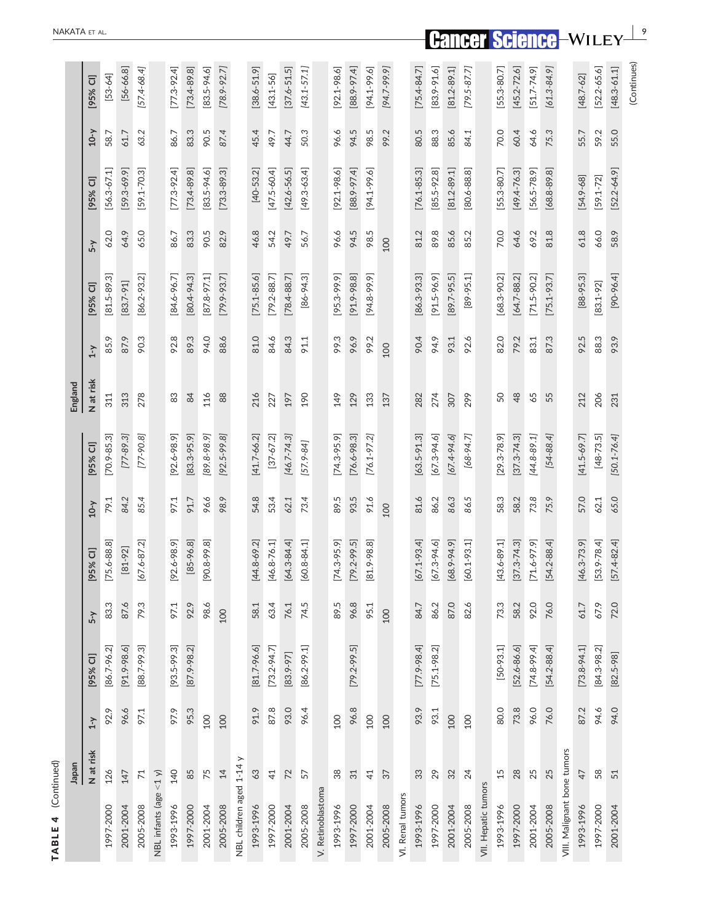|                             | <b>neder</b>    |         |                 |       |                 |        |                 | England       |       |                 |       |                 |        |                 |
|-----------------------------|-----------------|---------|-----------------|-------|-----------------|--------|-----------------|---------------|-------|-----------------|-------|-----------------|--------|-----------------|
|                             | N at risk       | $1 - y$ | [95% CI]        | $5-y$ | [95% CI]        | $10-y$ | [ $95%$ CI]     | N at risk     | $Y-1$ | [95% CI]        | $5-y$ | $[95%$ CI]      | $10-y$ | [95% CI]        |
| 1997-2000                   | 126             | 92.9    | [86.7-96.2]     | 83.3  | $[75.6 - 88.8]$ | 79.1   | $[70.9 - 85.3]$ | 311           | 85.9  | $[81.5 - 89.3]$ | 62.0  | $[56.3 - 67.1]$ | 58.7   | $[53 - 64]$     |
| 2001-2004                   | 147             | 96.6    | $[91.9 - 98.6]$ | 87.6  | $[81 - 92]$     | 84.2   | $[77-89.3]$     | 313           | 87.9  | $[83.7 - 91]$   | 64.9  | $[59.3 - 69.9]$ | 61.7   | $[56 - 66.8]$   |
| 2005-2008                   | 71              | 97.1    | $[88.7 - 99.3]$ | 79.3  | $[67.6 - 87.2]$ | 85.4   | $[77 - 90.8]$   | 278           | 90.3  | [86.2-93.2]     | 65.0  | $[59.1 - 70.3]$ | 63.2   | $[57.4 - 68.4]$ |
| NBL infants (age            | $<1 y$          |         |                 |       |                 |        |                 |               |       |                 |       |                 |        |                 |
| 1993-1996                   | <b>140</b>      | 97.9    | $[93.5 - 99.3]$ | 97.1  | $[92.6 - 98.9]$ | 97.1   | $[92.6 - 98.9]$ | 83            | 92.8  | [84.6-96.7]     | 86.7  | $[77.3 - 92.4]$ | 86.7   | $[77.3 - 92.4]$ |
| 1997-2000                   | 85              | 95.3    | $[87.9 - 98.2]$ | 92.9  | $[85 - 96.8]$   | 91.7   | $[83.3 - 95.9]$ | 84            | 89.3  | $[80.4 - 94.3]$ | 83.3  | $[73.4 - 89.8]$ | 83.3   | $[73.4 - 89.8]$ |
| 2001-2004                   | 75              | 100     |                 | 98.6  | $[90.8 - 99.8]$ | 96.6   | $[89.8 - 98.9]$ | 116           | 94.0  | $[87.8 - 97.1]$ | 90.5  | $[83.5 - 94.6]$ | 90.5   | 83.5-94.6       |
| 2005-2008                   | 14              | 100     |                 | 100   |                 | 98.9   | $[92.5 - 99.8]$ | 88            | 88.6  | $[79.9 - 93.7]$ | 82.9  | $[73.3 - 89.3]$ | 87.4   | $[78.9 - 92.7]$ |
| NBL children aged 1-14 y    |                 |         |                 |       |                 |        |                 |               |       |                 |       |                 |        |                 |
| 1993-1996                   | 63              | 91.9    | $[81.7 - 96.6]$ | 58.1  | $[44.8 - 69.2]$ | 54.8   | $[41.7 - 66.2]$ | 216           | 81.0  | $[75.1 - 85.6]$ | 46.8  | $[40 - 53.2]$   | 45.4   | $[38.6 - 51.9]$ |
| 1997-2000                   | 41              | 87.8    | $[73.2 - 94.7]$ | 63.4  | $[46.8 - 76.1]$ | 53.4   | $[37 - 67.2]$   | 227           | 84.6  | $[79.2 - 88.7]$ | 54.2  | $[47.5 - 60.4]$ | 49.7   | $[43.1 - 56]$   |
| 2001-2004                   | 72              | 93.0    | $[83.9 - 97]$   | 76.1  | $[64.3 - 84.4]$ | 62.1   | $[46.7 - 74.3]$ | 197           | 84.3  | $[78.4 - 88.7]$ | 49.7  | $[42.6 - 56.5]$ | 44.7   | $[37.6 - 51.5]$ |
| 2005-2008                   | 57              | 96.4    | $[86.2 - 99.1]$ | 74.5  | $[60.8 - 84.1]$ | 73.4   | $[57.9 - 84]$   | 190           | 91.1  | $[86 - 94.3]$   | 56.7  | $[49.3 - 63.4]$ | 50.3   | $[43.1 - 57.1]$ |
| V. Retinoblastoma           |                 |         |                 |       |                 |        |                 |               |       |                 |       |                 |        |                 |
| 1993-1996                   | 38              | 100     |                 | 89.5  | 74.3-95.9]      | 89.5   | $[74.3 - 95.9]$ | 149           | 99.3  | $[95.3 - 99.9]$ | 96.6  | $[92.1 - 98.6]$ | 96.6   | $[92.1 - 98.6]$ |
| 1997-2000                   | $\overline{31}$ | 96.8    | $[79.2 - 99.5]$ | 96.8  | $[79.2 - 99.5]$ | 93.5   | $[76.6 - 98.3]$ | 129           | 96.9  | $[91.9 - 98.8]$ | 94.5  | $[88.9 - 97.4]$ | 94.5   | $[88.9 - 97.4]$ |
| 2001-2004                   | $\frac{4}{1}$   | 100     |                 | 95.1  | $[81.9 - 98.8]$ | 91.6   | $[76.1 - 97.2]$ | 133           | 99.2  | $[94.8 - 99.9]$ | 98.5  | $[94.1 - 99.6]$ | 98.5   | $[94.1 - 99.6]$ |
| 2005-2008                   | 57              | 100     |                 | 100   |                 | 100    |                 | 137           | 100   |                 | 100   |                 | 99.2   | $[94.7 - 99.9]$ |
| VI. Renal tumors            |                 |         |                 |       |                 |        |                 |               |       |                 |       |                 |        |                 |
| 1993-1996                   | 33              | 93.9    | $[77.9 - 98.4]$ | 84.7  | $[67.1 - 93.4]$ | 81.6   | $[63.5 - 91.3]$ | 282           | 90.4  | $[86.3 - 93.3]$ | 81.2  | $[76.1 - 85.3]$ | 80.5   | $[75.4 - 84.7]$ |
| 1997-2000                   | 29              | 93.1    | $[75.1 - 98.2]$ | 86.2  | $[67.3 - 94.6]$ | 86.2   | $[67.3 - 94.6]$ | 274           | 94.9  | $[91.5 - 96.9]$ | 89.8  | $[85.5 - 92.8]$ | 88.3   | $[83.9 - 91.6]$ |
| 2001-2004                   | 32              | 100     |                 | 87.0  | [68.9-94.9]     | 86.3   | $[67.4 - 94.6]$ | 307           | 93.1  | $[89.7 - 95.5]$ | 85.6  | $[81.2 - 89.1]$ | 85.6   | $[81.2 - 89.1]$ |
| 2005-2008                   | 24              | 100     |                 | 82.6  | $[60.1 - 93.1]$ | 86.5   | $[68 - 94.7]$   | 299           | 92.6  | $[89 - 95.1]$   | 85.2  | $[80.6 - 88.8]$ | 84.1   | $[79.5 - 87.7]$ |
| VII. Hepatic tumors         |                 |         |                 |       |                 |        |                 |               |       |                 |       |                 |        |                 |
| 1993-1996                   | 15              | 80.0    | $[50 - 93.1]$   | 73.3  | $[43.6 - 89.1]$ | 58.3   | $[29.3 - 78.9]$ | 50            | 82.0  | [68.3-90.2]     | 70.0  | $[55.3 - 80.7]$ | 70.0   | $[55.3 - 80.7]$ |
| 1997-2000                   | 28              | 73.8    | $[52.6 - 86.6]$ | 58.2  | $[37.3 - 74.3]$ | 58.2   | $[37.3 - 74.3]$ | $\frac{8}{3}$ | 79.2  | [64.7-88.2]     | 64.6  | $[49.4 - 76.3]$ | 60.4   | $[45.2 - 72.6]$ |
| 2001-2004                   | 25              | 96.0    | $[74.8 - 99.4]$ | 92.0  | $[71.6 - 97.9]$ | 73.8   | $[44.8 - 89.1]$ | 65            | 83.1  | $[71.5 - 90.2]$ | 69.2  | $[56.5 - 78.9]$ | 64.6   | $[51.7 - 74.9]$ |
| 2005-2008                   | 25              | 76.0    | $[54.2 - 88.4]$ | 76.0  | $[54.2 - 88.4]$ | 75.9   | $[54 - 88.4]$   | 55            | 87.3  | $[75.1 - 93.7]$ | 81.8  | [68.8-89.8]     | 75.3   | $[61.3 - 84.9]$ |
| VIII. Malignant bone tumors |                 |         |                 |       |                 |        |                 |               |       |                 |       |                 |        |                 |
| 1993-1996                   | 47              | 87.2    | $[73.8 - 94.1]$ | 61.7  | $[46.3 - 73.9]$ | 57.0   | $[41.5 - 69.7]$ | 212           | 92.5  | $[88 - 95.3]$   | 61.8  | $[54.9 - 68]$   | 55.7   | $[48.7 - 62]$   |
| 1997-2000                   | 58              | 94.6    | $[84.3 - 98.2]$ | 67.9  | 53.9-78.4]      | 62.1   | $[48 - 73.5]$   | 206           | 88.3  | $[83.1 - 92]$   | 66.0  | $[59.1 - 72]$   | 59.2   | $[52.2 - 65.6]$ |
| 2001-2004                   | 51              | 94.0    | $[82.5 - 98]$   | 72.0  | $[57.4 - 82.4]$ | 65.0   | $[50.1 - 76.4]$ | 231           | 93.9  | $[90-96.4]$     | 58.9  | $[52.2 - 64.9]$ | 55.0   | $[48.3 - 61.1]$ |
|                             |                 |         |                 |       |                 |        |                 |               |       |                 |       |                 |        | (Continues)     |

TABLE 4 (Continued)

TABLE 4 (Continued)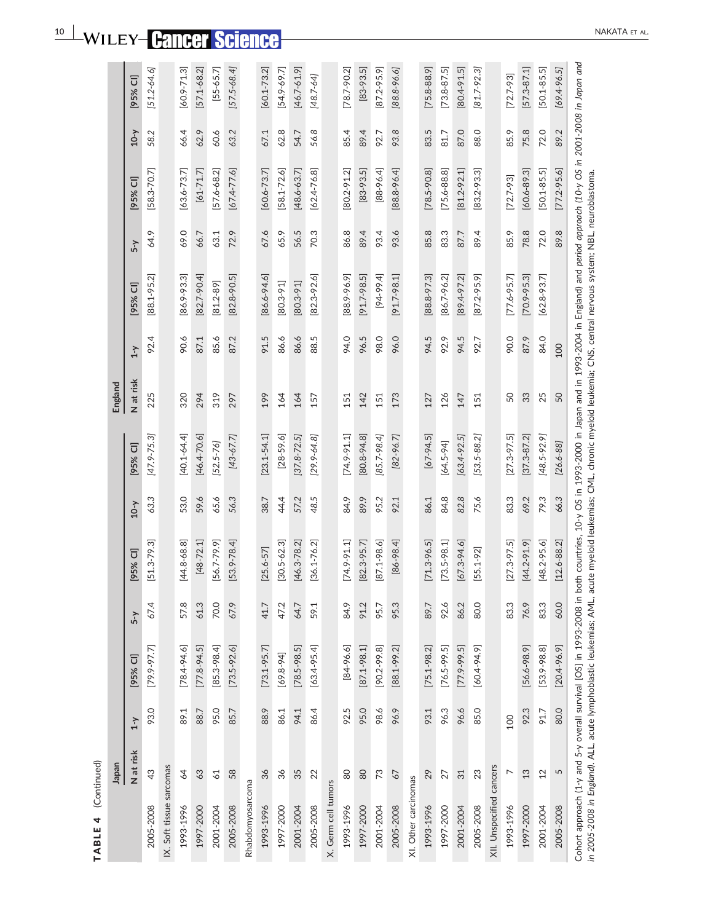| TABLE 4                  | (Continued)              |         |                       |         |                 |        |                 |           |            |                 |       |                 |           |                 |
|--------------------------|--------------------------|---------|-----------------------|---------|-----------------|--------|-----------------|-----------|------------|-----------------|-------|-----------------|-----------|-----------------|
|                          | <b>napan</b>             |         |                       |         |                 |        |                 | England   |            |                 |       |                 |           |                 |
|                          | N at risk                | $1 - y$ | [95% CI]              | $5 - y$ | [95% CI]        | $10-y$ | [95% CI]        | N at risk | $1 - y$    | $[95%$ CI]      | $5-y$ | [95% CI]        | $10-y$    | [95% $Cl$ ]     |
| 2005-2008                | 43                       | 93.0    | $[79.9 - 97.7]$       | 67.4    | $[51.3 - 79.3]$ | 63.3   | $[47.9 - 75.3]$ | 225       | 92.4       | $[88.1 - 95.2]$ | 64.9  | [58.3-70.7]     | 58.2      | $[51.2 - 64.6]$ |
| IX. Soft tissue sarcomas |                          |         |                       |         |                 |        |                 |           |            |                 |       |                 |           |                 |
| 1993-1996                | $\mathcal{A}$            | 89.1    | $[78.4 - 94.6]$       | 57.8    | $[44.8 - 68.8]$ | 53.0   | 40.1-64.4]      | 320       | 90.6       | [86.9-93.3]     | 69.0  | [63.6-73.7]     | 66.4      | $[60.9 - 71.3]$ |
| 1997-2000                | 63                       | 88.7    | $[77.8 - 94.5]$       | 61.3    | $[48 - 72.1]$   | 59.6   | $[46.4 - 70.6]$ | 294       | 87.1       | $[82.7 - 90.4]$ | 66.7  | $[61 - 71.7]$   | 62.9      | $[57.1 - 68.2]$ |
| 2001-2004                | 61                       | 95.0    | $[85.3 - 98.4]$       | 70.0    | $[6.7 - 79.9]$  | 65.6   | $[52.5 - 76]$   | 319       | 85.6       | $[81.2 - 89]$   | 63.1  | $[57.6 - 68.2]$ | 60.6      | $[55 - 65.7]$   |
| 2005-2008                | 58                       | 85.7    | $[73.5 - 92.6]$       | 67.9    | $[53.9 - 78.4]$ | 56.3   | $[43 - 67.7]$   | 297       | 87.2       | $[82.8 - 90.5]$ | 72.9  | $[67.4 - 77.6]$ | 63.2      | $[57.5 - 68.4]$ |
| Rhabdomyosarcoma         |                          |         |                       |         |                 |        |                 |           |            |                 |       |                 |           |                 |
| 1993-1996                | 36                       | 88.9    | $[73.1 - 95.7]$       | 41.7    | $[25.6 - 57]$   | 38.7   | $[23.1 - 54.1]$ | 199       | 91.5       | $[86.6 - 94.6]$ | 67.6  | $[60.6 - 73.7]$ | 67.1      | [60.1-73.2]     |
| 1997-2000                | 36                       | 86.1    | [69.8-94]             | 47.2    | $[30.5 - 62.3]$ | 44.4   | $[28 - 59.6]$   | 164       | 86.6       | $[80.3 - 91]$   | 65.9  | $[58.1 - 72.6]$ | 62.8      | $[54.9 - 69.7]$ |
| 2001-2004                | 35                       | 94.1    | $[78.5 - 98.5]$       | 64.7    | $[46.3 - 78.2]$ | 57.2   | $[37.8 - 72.5]$ | 164       | 86.6       | $[80.3 - 91]$   | 56.5  | $[48.6 - 63.7]$ | 54.7      | $[46.7 - 61.9]$ |
| 2005-2008                | 22                       | 86.4    | $[63.4 - 95.4]$       | 59.1    | $[36.1 - 76.2]$ | 48.5   | $[29.9 - 64.8]$ | 157       | 88.5       | $[82.3 - 92.6]$ | 70.3  | [62.4-76.8]     | 56.8      | $[48.7 - 64]$   |
| X. Germ cell tumors      |                          |         |                       |         |                 |        |                 |           |            |                 |       |                 |           |                 |
| 1993-1996                | 80                       | 92.5    | $[84 - 96.6]$         | 84.9    | $[74.9 - 91.1]$ | 84.9   | $[74.9 - 91.1]$ | 151       | 94.0       | $[88.9 - 96.9]$ | 86.8  | 80.2-91.2       | 85.4      | $[78.7 - 90.2]$ |
| 1997-2000                | 80                       | 95.0    | $[87.1 - 98.1]$       | 91.2    | $[82.3 - 95.7]$ | 89.9   | $[80.8 - 94.8]$ | 142       | 96.5       | $[91.7 - 98.5]$ | 89.4  | $[83 - 93.5]$   | 89.4      | $[83 - 93.5]$   |
| 2001-2004                | 73                       | 98.6    | $[90.2 - 99.8]$       | 95.7    | $[87.1 - 98.6]$ | 95.2   | $[85.7 - 98.4]$ | 151       | 98.0       | $[94-99.4]$     | 93.4  | $[88 - 96.4]$   | 92.7      | $[87.2 - 95.9]$ |
| 2005-2008                | 67                       | 96.9    | [88.1-99.2]           | 95.3    | $[86-98.4]$     | 92.1   | $[82 - 96.7]$   | 173       | 96.0       | $[91.7 - 98.1]$ | 93.6  | $[88.8 - 96.4]$ | 93.8      | $[88.8 - 96.6]$ |
| XI. Other carcinomas     |                          |         |                       |         |                 |        |                 |           |            |                 |       |                 |           |                 |
| 1993-1996                | 29                       | 93.1    | $[75.1 - 98.2]$       | 89.7    | $[71.3 - 96.5]$ | 86.1   | $[67 - 94.5]$   | 127       | 94.5       | $[88.8 - 97.3]$ | 85.8  | $[78.5 - 90.8]$ | 83.5      | $[75.8 - 88.9]$ |
| 1997-2000                | 27                       | 96.3    | $[76.5 - 99.5]$       | 92.6    | $[73.5 - 98.1]$ | 84.8   | $[64.5 - 94]$   | 126       | 92.9       | [86.7-96.2]     | 83.3  | $[75.6 - 88.8]$ | 81.7      | $[73.8 - 87.5]$ |
| 2001-2004                | 31                       | 96.6    | $[77.9 - 99.5]$       | 86.2    | $[67.3 - 94.6]$ | 82.8   | $[63.4 - 92.5]$ | 147       | 94.5       | $[89.4 - 97.2]$ | 87.7  | $[81.2 - 92.1]$ | 87.0      | $[80.4 - 91.5]$ |
| 2005-2008                | 23                       | 85.0    | [60.4-94.9]           | 80.0    | $[55.1 - 92]$   | 75.6   | $[53.5 - 88.2]$ | 151       | 92.7       | $[87.2 - 95.9]$ | 89.4  | $[83.2 - 93.3]$ | 88.0      | $[81.7 - 92.3]$ |
| XII. Unspecified cancers |                          |         |                       |         |                 |        |                 |           |            |                 |       |                 |           |                 |
| 1993-1996                | $\overline{\phantom{0}}$ | 100     |                       | 83.3    | $[27.3 - 97.5]$ | 83.3   | $[27.3 - 97.5]$ | 50        | 90.0       | $[77.6 - 95.7]$ | 85.9  | $[72.7 - 93]$   | 85.9      | $[72.7 - 93]$   |
| 1997-2000                | 13                       | 92.3    | $[56.6 - 98.9]$       | 76.9    | $[44.2 - 91.9]$ | 69.2   | $[37.3 - 87.2]$ | 33        | 87.9       | $[70.9 - 95.3]$ | 78.8  | [60.6-89.3]     | 75.8      | $[57.3 - 87.1]$ |
| 2001-2004                | 12                       | 91.7    | $[53.9 - 98.8]$       | 83.3    | $[48.2 - 95.6]$ | 79.3   | $[48.5 - 92.9]$ | 25        | 84.0       | $[62.8 - 93.7]$ | 72.0  | $[50.1 - 85.5]$ | 72.0      | $[50.1 - 85.5]$ |
| 2005-2008                | 5                        | 80.0    | $[20.4 - 96.9]$       | 60.0    | $[12.6 - 88.2]$ | 66.3   | $[26.6 - 88]$   | 50        | 100        |                 | 89.8  | $[77.2 - 95.6]$ | 89.2      | $[69.4 - 96.5]$ |
|                          |                          |         | : 1000 ממת 1001 ו- 1. |         |                 | č<br>ć | non non         |           | Anno non A | ا است.          |       | č<br>1.740      | anne ture |                 |

TABLE 4 (Continued) ÷ Š  $\overline{\phantom{a}}$ TABLE

Cohort approach (1-y and 5-y overall survival [OS] in 1993-2008 in both countries, 10-y OS in 1993-2000 in Japan and in 1993-2004 in England) and period approach (10-y OS in 2001-2008 in Japan and<br>in 2005-2008 in England). Cohort approach (1-y and 5-y overall survival [OS] in 1993-2008 in both countries, 10-y OS in 1993-2000 in Japan and in 1993-2004 in England) and period approach (10-y OS in 2001-2008 in Japan and in 2005-2008 in England). ALL, acute lymphoblastic leukemias; AML, acute myeloid leukemias; CML, chronic myeloid leukemia; CNS, central nervous system; NBL, neuroblastoma.

## 10 | MALLEY **CARAAL CALABAA**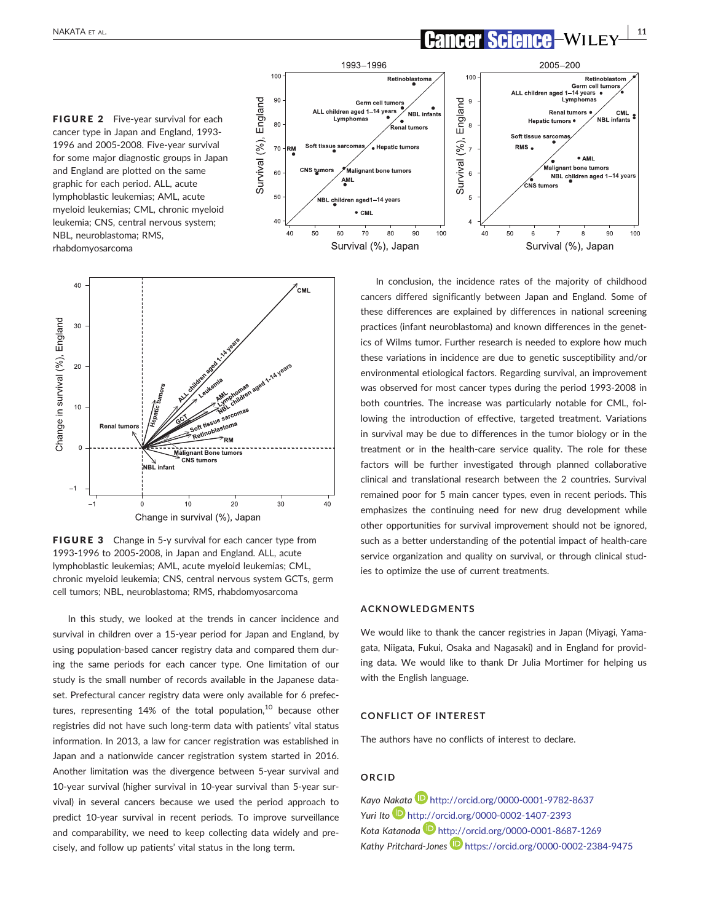





FIGURE 3 Change in 5-y survival for each cancer type from 1993-1996 to 2005-2008, in Japan and England. ALL, acute lymphoblastic leukemias; AML, acute myeloid leukemias; CML, chronic myeloid leukemia; CNS, central nervous system GCTs, germ cell tumors; NBL, neuroblastoma; RMS, rhabdomyosarcoma

In this study, we looked at the trends in cancer incidence and survival in children over a 15-year period for Japan and England, by using population-based cancer registry data and compared them during the same periods for each cancer type. One limitation of our study is the small number of records available in the Japanese dataset. Prefectural cancer registry data were only available for 6 prefectures, representing  $14\%$  of the total population,<sup>10</sup> because other registries did not have such long-term data with patients' vital status information. In 2013, a law for cancer registration was established in Japan and a nationwide cancer registration system started in 2016. Another limitation was the divergence between 5-year survival and 10-year survival (higher survival in 10-year survival than 5-year survival) in several cancers because we used the period approach to predict 10-year survival in recent periods. To improve surveillance and comparability, we need to keep collecting data widely and precisely, and follow up patients' vital status in the long term.

In conclusion, the incidence rates of the majority of childhood cancers differed significantly between Japan and England. Some of these differences are explained by differences in national screening practices (infant neuroblastoma) and known differences in the genetics of Wilms tumor. Further research is needed to explore how much these variations in incidence are due to genetic susceptibility and/or environmental etiological factors. Regarding survival, an improvement was observed for most cancer types during the period 1993-2008 in both countries. The increase was particularly notable for CML, following the introduction of effective, targeted treatment. Variations in survival may be due to differences in the tumor biology or in the treatment or in the health-care service quality. The role for these factors will be further investigated through planned collaborative clinical and translational research between the 2 countries. Survival remained poor for 5 main cancer types, even in recent periods. This emphasizes the continuing need for new drug development while other opportunities for survival improvement should not be ignored, such as a better understanding of the potential impact of health-care service organization and quality on survival, or through clinical studies to optimize the use of current treatments.

#### ACKNOWLEDGMENTS

We would like to thank the cancer registries in Japan (Miyagi, Yamagata, Niigata, Fukui, Osaka and Nagasaki) and in England for providing data. We would like to thank Dr Julia Mortimer for helping us with the English language.

#### CONFLICT OF INTEREST

The authors have no conflicts of interest to declare.

#### **ORCID**

Kayo Nakata D http://orcid.org/0000-0001-9782-8637 Yuri Ito http://orcid.org/0000-0002-1407-2393 Kota Katanoda D http://orcid.org/0000-0001-8687-1269 Kathy Pritchard-Jones **D** https://orcid.org/0000-0002-2384-9475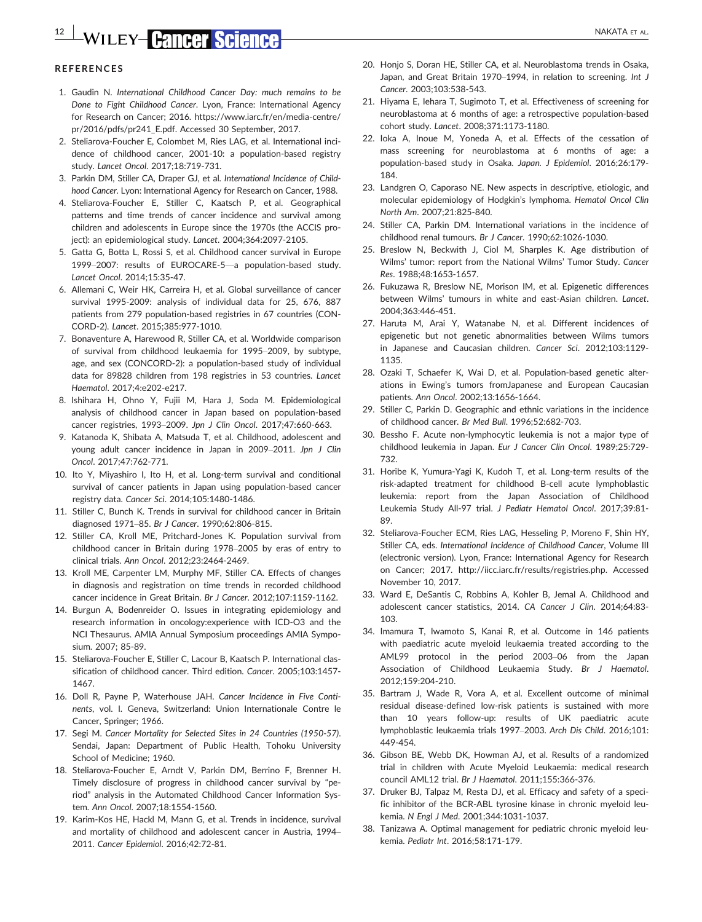# 12 WILEY-CANCEY SCIENCE **CONSTRUCT SCIENCE**

#### **REFERENCES**

- 1. Gaudin N. International Childhood Cancer Day: much remains to be Done to Fight Childhood Cancer. Lyon, France: International Agency for Research on Cancer; 2016. [https://www.iarc.fr/en/media-centre/](https://www.iarc.fr/en/media-centre/pr/2016/pdfs/pr241_E.pdf) [pr/2016/pdfs/pr241\\_E.pdf.](https://www.iarc.fr/en/media-centre/pr/2016/pdfs/pr241_E.pdf) Accessed 30 September, 2017.
- 2. Steliarova-Foucher E, Colombet M, Ries LAG, et al. International incidence of childhood cancer, 2001-10: a population-based registry study. Lancet Oncol. 2017;18:719-731.
- 3. Parkin DM, Stiller CA, Draper GJ, et al. International Incidence of Childhood Cancer. Lyon: International Agency for Research on Cancer, 1988.
- 4. Steliarova-Foucher E, Stiller C, Kaatsch P, et al. Geographical patterns and time trends of cancer incidence and survival among children and adolescents in Europe since the 1970s (the ACCIS project): an epidemiological study. Lancet. 2004;364:2097-2105.
- 5. Gatta G, Botta L, Rossi S, et al. Childhood cancer survival in Europe 1999–2007: results of EUROCARE-5—a population-based study. Lancet Oncol. 2014;15:35-47.
- 6. Allemani C, Weir HK, Carreira H, et al. Global surveillance of cancer survival 1995-2009: analysis of individual data for 25, 676, 887 patients from 279 population-based registries in 67 countries (CON-CORD-2). Lancet. 2015;385:977-1010.
- 7. Bonaventure A, Harewood R, Stiller CA, et al. Worldwide comparison of survival from childhood leukaemia for 1995–2009, by subtype, age, and sex (CONCORD-2): a population-based study of individual data for 89828 children from 198 registries in 53 countries. Lancet Haematol. 2017;4:e202-e217.
- 8. Ishihara H, Ohno Y, Fujii M, Hara J, Soda M. Epidemiological analysis of childhood cancer in Japan based on population-based cancer registries, 1993–2009. Jpn J Clin Oncol. 2017;47:660-663.
- 9. Katanoda K, Shibata A, Matsuda T, et al. Childhood, adolescent and young adult cancer incidence in Japan in 2009-2011. Jpn J Clin Oncol. 2017;47:762-771.
- 10. Ito Y, Miyashiro I, Ito H, et al. Long-term survival and conditional survival of cancer patients in Japan using population-based cancer registry data. Cancer Sci. 2014;105:1480-1486.
- 11. Stiller C, Bunch K. Trends in survival for childhood cancer in Britain diagnosed 1971–85. Br J Cancer. 1990;62:806-815.
- 12. Stiller CA, Kroll ME, Pritchard-Jones K. Population survival from childhood cancer in Britain during 1978–2005 by eras of entry to clinical trials. Ann Oncol. 2012;23:2464-2469.
- 13. Kroll ME, Carpenter LM, Murphy MF, Stiller CA. Effects of changes in diagnosis and registration on time trends in recorded childhood cancer incidence in Great Britain. Br J Cancer. 2012;107:1159-1162.
- 14. Burgun A, Bodenreider O. Issues in integrating epidemiology and research information in oncology:experience with ICD-O3 and the NCI Thesaurus. AMIA Annual Symposium proceedings AMIA Symposium. 2007; 85-89.
- 15. Steliarova-Foucher E, Stiller C, Lacour B, Kaatsch P. International classification of childhood cancer. Third edition. Cancer. 2005;103:1457- 1467.
- 16. Doll R, Payne P, Waterhouse JAH. Cancer Incidence in Five Continents, vol. I. Geneva, Switzerland: Union Internationale Contre le Cancer, Springer; 1966.
- 17. Segi M. Cancer Mortality for Selected Sites in 24 Countries (1950-57). Sendai, Japan: Department of Public Health, Tohoku University School of Medicine; 1960.
- 18. Steliarova-Foucher E, Arndt V, Parkin DM, Berrino F, Brenner H. Timely disclosure of progress in childhood cancer survival by "period" analysis in the Automated Childhood Cancer Information System. Ann Oncol. 2007;18:1554-1560.
- 19. Karim-Kos HE, Hackl M, Mann G, et al. Trends in incidence, survival and mortality of childhood and adolescent cancer in Austria, 1994– 2011. Cancer Epidemiol. 2016;42:72-81.
- 20. Honjo S, Doran HE, Stiller CA, et al. Neuroblastoma trends in Osaka, Japan, and Great Britain 1970–1994, in relation to screening. Int J Cancer. 2003;103:538-543.
- 21. Hiyama E, Iehara T, Sugimoto T, et al. Effectiveness of screening for neuroblastoma at 6 months of age: a retrospective population-based cohort study. Lancet. 2008;371:1173-1180.
- 22. Ioka A, Inoue M, Yoneda A, et al. Effects of the cessation of mass screening for neuroblastoma at 6 months of age: a population-based study in Osaka. Japan. J Epidemiol. 2016;26:179- 184.
- 23. Landgren O, Caporaso NE. New aspects in descriptive, etiologic, and molecular epidemiology of Hodgkin's lymphoma. Hematol Oncol Clin North Am. 2007;21:825-840.
- 24. Stiller CA, Parkin DM. International variations in the incidence of childhood renal tumours. Br J Cancer. 1990;62:1026-1030.
- 25. Breslow N, Beckwith J, Ciol M, Sharples K. Age distribution of Wilms' tumor: report from the National Wilms' Tumor Study. Cancer Res. 1988;48:1653-1657.
- 26. Fukuzawa R, Breslow NE, Morison IM, et al. Epigenetic differences between Wilms' tumours in white and east-Asian children. Lancet. 2004;363:446-451.
- 27. Haruta M, Arai Y, Watanabe N, et al. Different incidences of epigenetic but not genetic abnormalities between Wilms tumors in Japanese and Caucasian children. Cancer Sci. 2012;103:1129- 1135.
- 28. Ozaki T, Schaefer K, Wai D, et al. Population-based genetic alterations in Ewing's tumors fromJapanese and European Caucasian patients. Ann Oncol. 2002;13:1656-1664.
- 29. Stiller C, Parkin D. Geographic and ethnic variations in the incidence of childhood cancer. Br Med Bull. 1996;52:682-703.
- 30. Bessho F. Acute non-lymphocytic leukemia is not a major type of childhood leukemia in Japan. Eur J Cancer Clin Oncol. 1989;25:729- 732.
- 31. Horibe K, Yumura-Yagi K, Kudoh T, et al. Long-term results of the risk-adapted treatment for childhood B-cell acute lymphoblastic leukemia: report from the Japan Association of Childhood Leukemia Study All-97 trial. J Pediatr Hematol Oncol. 2017;39:81- 89.
- 32. Steliarova-Foucher ECM, Ries LAG, Hesseling P, Moreno F, Shin HY, Stiller CA, eds. International Incidence of Childhood Cancer, Volume III (electronic version). Lyon, France: International Agency for Research on Cancer; 2017. [http://iicc.iarc.fr/results/registries.php.](http://iicc.iarc.fr/results/registries.php) Accessed November 10, 2017.
- 33. Ward E, DeSantis C, Robbins A, Kohler B, Jemal A. Childhood and adolescent cancer statistics, 2014. CA Cancer J Clin. 2014;64:83- 103.
- 34. Imamura T, Iwamoto S, Kanai R, et al. Outcome in 146 patients with paediatric acute myeloid leukaemia treated according to the AML99 protocol in the period 2003–06 from the Japan Association of Childhood Leukaemia Study. Br J Haematol. 2012;159:204-210.
- 35. Bartram J, Wade R, Vora A, et al. Excellent outcome of minimal residual disease-defined low-risk patients is sustained with more than 10 years follow-up: results of UK paediatric acute lymphoblastic leukaemia trials 1997–2003. Arch Dis Child. 2016;101: 449-454.
- 36. Gibson BE, Webb DK, Howman AJ, et al. Results of a randomized trial in children with Acute Myeloid Leukaemia: medical research council AML12 trial. Br J Haematol. 2011;155:366-376.
- 37. Druker BJ, Talpaz M, Resta DJ, et al. Efficacy and safety of a specific inhibitor of the BCR-ABL tyrosine kinase in chronic myeloid leukemia. N Engl J Med. 2001;344:1031-1037.
- 38. Tanizawa A. Optimal management for pediatric chronic myeloid leukemia. Pediatr Int. 2016;58:171-179.